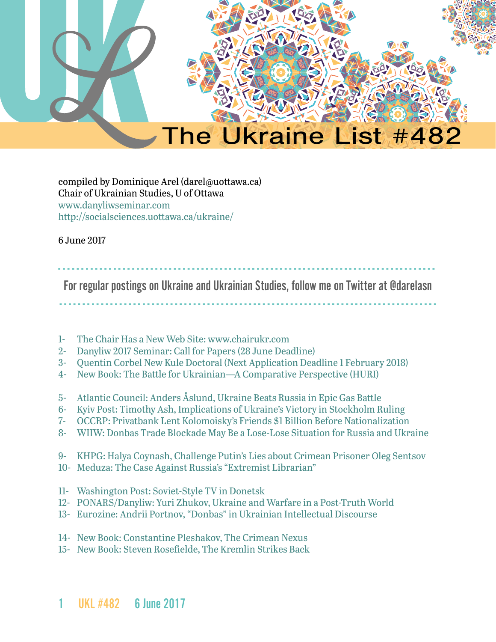

### compiled by Dominique Arel (darel@uottawa.ca) Chair of Ukrainian Studies, U of Ottawa [www.danyliwseminar.com](http://www.danyliwseminar.com) <http://socialsciences.uottawa.ca/ukraine/>

6 June 2017

<span id="page-0-0"></span>- - - - - - - - - - - - - - - - - - - - - - - - - - - - - - - - - - - - - - - - - - - - - - - - - - - - - - - - - - - - - - - - - - - - - - - - - - - - - - - - - -

For regular postings on Ukraine and Ukrainian Studies, follow me on Twitter at @darelasn

- - - - - - - - - - - - - - - - - - - - - - - - - - - - - - - - - - - - - - - - - - - - - - - - - - - - - - - - - - - - - - - - - - - - - - - - - - - - - - - - - -

- 1- [The Chair Has a New Web Site: www.chairukr.com](#page-1-0)
- 2- [Danyliw 2017 Seminar: Call for Papers \(28 June Deadline\)](#page-1-1)
- 3- [Quentin Corbel New Kule Doctoral \(Next Application Deadline 1 February 2018\)](#page-3-0)
- 4- [New Book: The Battle for Ukrainian—A Comparative Perspective \(HURI\)](#page-4-0)
- 5- [Atlantic Council: Anders Åslund, Ukraine Beats Russia in Epic Gas Battle](#page-5-0)
- 6- Kyiv Post: Timothy Ash, Implications of Ukraine's Victory in Stockholm Ruling
- 7- OCCRP: Privatbank Lent Kolomoisky's Friends \$1 Billion Before Nationalization
- 8- [WIIW: Donbas Trade Blockade May Be a Lose-Lose Situation for Russia and Ukraine](#page-13-0)
- 9- KHPG: Halya Coynash, Challenge Putin's Lies about Crimean Prisoner Oleg Sentsov
- 10- Meduza: The Case Against Russia's "Extremist Librarian"
- 11- [Washington Post: Soviet-Style TV in Donetsk](#page-21-0)
- 12- [PONARS/Danyliw: Yuri Zhukov, Ukraine and Warfare in a Post-Truth World](#page-24-0)
- 13- [Eurozine: Andrii Portnov, "Donbas" in Ukrainian Intellectual Discourse](#page-29-0)
- 14- [New Book: Constantine Pleshakov, The Crimean Nexus](#page-38-0)
- 15- [New Book: Steven Rosefielde, The Kremlin Strikes Back](#page-39-0)
- 1 UKL #482 6 June 2017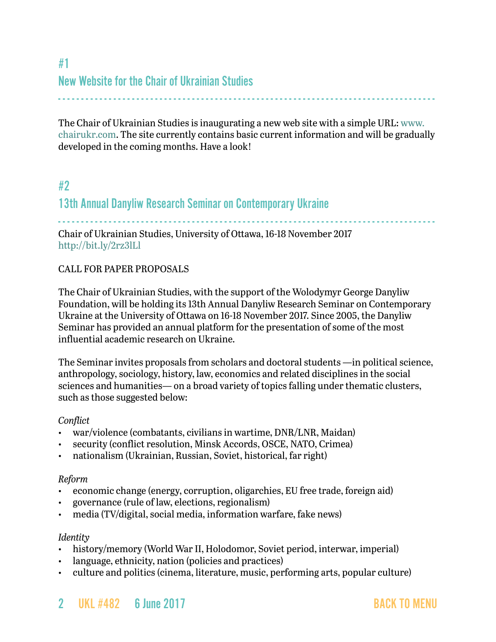# <span id="page-1-0"></span>#1 New Website for the Chair of Ukrainian Studies

The Chair of Ukrainian Studies is inaugurating a new web site with a simple URL: [www.](http://www.chairukr.com) [chairukr.com](http://www.chairukr.com). The site currently contains basic current information and will be gradually developed in the coming months. Have a look!

- - - - - - - - - - - - - - - - - - - - - - - - - - - - - - - - - - - - - - - - - - - - - - - - - - - - - - - - - - - - - - - - - - - - - - - - - - - - - - - - - -

# <span id="page-1-1"></span>#2

## 13th Annual Danyliw Research Seminar on Contemporary Ukraine

- - - - - - - - - - - - - - - - - - - - - - - - - - - - - - - - - - - - - - - - - - - - - - - - - - - - - - - - - - - - - - - - - - - - - - - - - - - - - - - - - -

Chair of Ukrainian Studies, University of Ottawa, 16-18 November 2017 <http://bit.ly/2rz3lLl>

### CALL FOR PAPER PROPOSALS

The Chair of Ukrainian Studies, with the support of the Wolodymyr George Danyliw Foundation, will be holding its 13th Annual Danyliw Research Seminar on Contemporary Ukraine at the University of Ottawa on 16-18 November 2017. Since 2005, the Danyliw Seminar has provided an annual platform for the presentation of some of the most influential academic research on Ukraine.

The Seminar invites proposals from scholars and doctoral students —in political science, anthropology, sociology, history, law, economics and related disciplines in the social sciences and humanities— on a broad variety of topics falling under thematic clusters, such as those suggested below:

### *Conflict*

- war/violence (combatants, civilians in wartime, DNR/LNR, Maidan)
- security (conflict resolution, Minsk Accords, OSCE, NATO, Crimea)
- nationalism (Ukrainian, Russian, Soviet, historical, far right)

### *Reform*

- economic change (energy, corruption, oligarchies, EU free trade, foreign aid)
- governance (rule of law, elections, regionalism)
- media (TV/digital, social media, information warfare, fake news)

### *Identity*

- history/memory (World War II, Holodomor, Soviet period, interwar, imperial)
- language, ethnicity, nation (policies and practices)
- culture and politics (cinema, literature, music, performing arts, popular culture)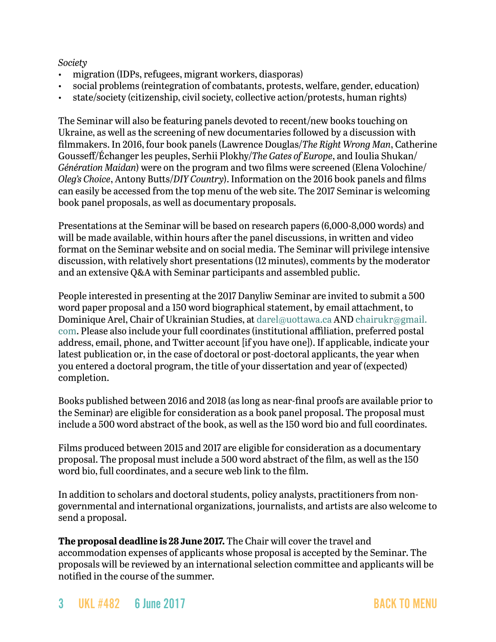### *Society*

- migration (IDPs, refugees, migrant workers, diasporas)
- social problems (reintegration of combatants, protests, welfare, gender, education)
- state/society (citizenship, civil society, collective action/protests, human rights)

The Seminar will also be featuring panels devoted to recent/new books touching on Ukraine, as well as the screening of new documentaries followed by a discussion with filmmakers. In 2016, four book panels (Lawrence Douglas/*The Right Wrong Man*, Catherine Gousseff/Échanger les peuples, Serhii Plokhy/*The Gates of Europe*, and Ioulia Shukan/ *Génération Maidan*) were on the program and two films were screened (Elena Volochine/ *Oleg's Choice*, Antony Butts/*DIY Country*). Information on the 2016 book panels and films can easily be accessed from the top menu of the web site. The 2017 Seminar is welcoming book panel proposals, as well as documentary proposals.

Presentations at the Seminar will be based on research papers (6,000-8,000 words) and will be made available, within hours after the panel discussions, in written and video format on the Seminar website and on social media. The Seminar will privilege intensive discussion, with relatively short presentations (12 minutes), comments by the moderator and an extensive Q&A with Seminar participants and assembled public.

People interested in presenting at the 2017 Danyliw Seminar are invited to submit a 500 word paper proposal and a 150 word biographical statement, by email attachment, to Dominique Arel, Chair of Ukrainian Studies, at [darel@uottawa.ca](mailto:darel@uottawa.ca) AND [chairukr@gmail.](mailto:chairukr@gmail.com) [com](mailto:chairukr@gmail.com). Please also include your full coordinates (institutional affiliation, preferred postal address, email, phone, and Twitter account [if you have one]). If applicable, indicate your latest publication or, in the case of doctoral or post-doctoral applicants, the year when you entered a doctoral program, the title of your dissertation and year of (expected) completion.

Books published between 2016 and 2018 (as long as near-final proofs are available prior to the Seminar) are eligible for consideration as a book panel proposal. The proposal must include a 500 word abstract of the book, as well as the 150 word bio and full coordinates.

Films produced between 2015 and 2017 are eligible for consideration as a documentary proposal. The proposal must include a 500 word abstract of the film, as well as the 150 word bio, full coordinates, and a secure web link to the film.

In addition to scholars and doctoral students, policy analysts, practitioners from nongovernmental and international organizations, journalists, and artists are also welcome to send a proposal.

**The proposal deadline is 28 June 2017.** The Chair will cover the travel and accommodation expenses of applicants whose proposal is accepted by the Seminar. The proposals will be reviewed by an international selection committee and applicants will be notified in the course of the summer.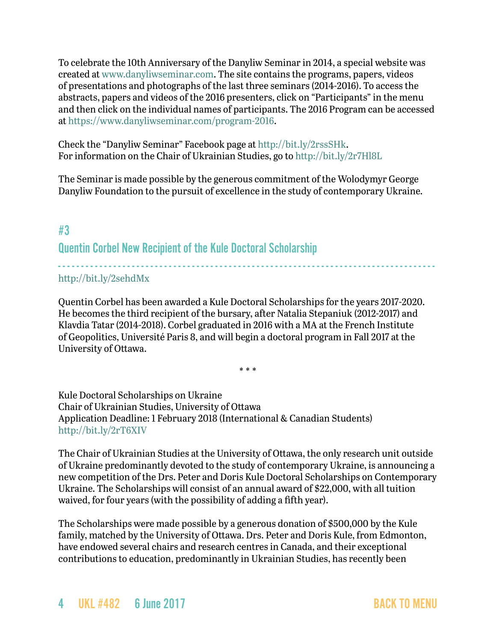To celebrate the 10th Anniversary of the Danyliw Seminar in 2014, a special website was created at [www.danyliwseminar.com.](http://www.danyliwseminar.com) The site contains the programs, papers, videos of presentations and photographs of the last three seminars (2014-2016). To access the abstracts, papers and videos of the 2016 presenters, click on "Participants" in the menu and then click on the individual names of participants. The 2016 Program can be accessed at<https://www.danyliwseminar.com/program-2016>.

Check the "Danyliw Seminar" Facebook page at<http://bit.ly/2rssSHk>. For information on the Chair of Ukrainian Studies, go to <http://bit.ly/2r7Hl8L>

The Seminar is made possible by the generous commitment of the Wolodymyr George Danyliw Foundation to the pursuit of excellence in the study of contemporary Ukraine.

## <span id="page-3-0"></span>#3

Quentin Corbel New Recipient of the Kule Doctoral Scholarship

### - - - - - - - - - - - - - - - - - - - - - - - - - - - - - - - - - - - - - - - - - - - - - - - - - - - - - - - - - - - - - - - - - - - - - - - - - - - - - - - - - <http://bit.ly/2sehdMx>

Quentin Corbel has been awarded a Kule Doctoral Scholarships for the years 2017-2020. He becomes the third recipient of the bursary, after Natalia Stepaniuk (2012-2017) and Klavdia Tatar (2014-2018). Corbel graduated in 2016 with a MA at the French Institute of Geopolitics, Université Paris 8, and will begin a doctoral program in Fall 2017 at the University of Ottawa.

\* \* \*

Kule Doctoral Scholarships on Ukraine Chair of Ukrainian Studies, University of Ottawa Application Deadline: 1 February 2018 (International & Canadian Students) <http://bit.ly/2rT6XIV>

The Chair of Ukrainian Studies at the University of Ottawa, the only research unit outside of Ukraine predominantly devoted to the study of contemporary Ukraine, is announcing a new competition of the Drs. Peter and Doris Kule Doctoral Scholarships on Contemporary Ukraine. The Scholarships will consist of an annual award of \$22,000, with all tuition waived, for four years (with the possibility of adding a fifth year).

The Scholarships were made possible by a generous donation of \$500,000 by the Kule family, matched by the University of Ottawa. Drs. Peter and Doris Kule, from Edmonton, have endowed several chairs and research centres in Canada, and their exceptional contributions to education, predominantly in Ukrainian Studies, has recently been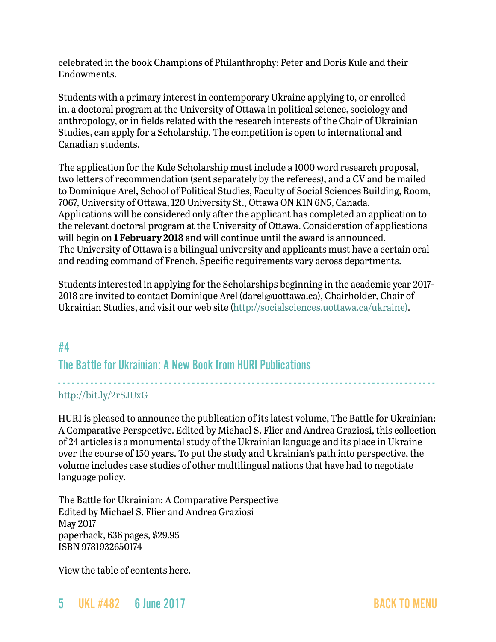celebrated in the book Champions of Philanthrophy: Peter and Doris Kule and their Endowments.

Students with a primary interest in contemporary Ukraine applying to, or enrolled in, a doctoral program at the University of Ottawa in political science, sociology and anthropology, or in fields related with the research interests of the Chair of Ukrainian Studies, can apply for a Scholarship. The competition is open to international and Canadian students.

The application for the Kule Scholarship must include a 1000 word research proposal, two letters of recommendation (sent separately by the referees), and a CV and be mailed to Dominique Arel, School of Political Studies, Faculty of Social Sciences Building, Room, 7067, University of Ottawa, 120 University St., Ottawa ON K1N 6N5, Canada. Applications will be considered only after the applicant has completed an application to the relevant doctoral program at the University of Ottawa. Consideration of applications will begin on **1 February 2018** and will continue until the award is announced. The University of Ottawa is a bilingual university and applicants must have a certain oral and reading command of French. Specific requirements vary across departments.

Students interested in applying for the Scholarships beginning in the academic year 2017- 2018 are invited to contact Dominique Arel [\(darel@uottawa.ca](mailto:darel@uottawa.ca)), Chairholder, Chair of Ukrainian Studies, and visit our web site [\(http://socialsciences.uottawa.ca/ukraine\).](http://socialsciences.uottawa.ca/ukraine))

<span id="page-4-0"></span>#4 The Battle for Ukrainian: A New Book from HURI Publications

- - - - - - - - - - - - - - - - - - - - - - - - - - - - - - - - - - - - - - - - - - - - - - - - - - - - - - - - - - - - - - - - - - - - - - - - - - - - - - - - - <http://bit.ly/2rSJUxG>

HURI is pleased to announce the publication of its latest volume, The Battle for Ukrainian: A Comparative Perspective. Edited by Michael S. Flier and Andrea Graziosi, this collection of 24 articles is a monumental study of the Ukrainian language and its place in Ukraine over the course of 150 years. To put the study and Ukrainian's path into perspective, the volume includes case studies of other multilingual nations that have had to negotiate language policy.

The Battle for Ukrainian: A Comparative Perspective Edited by Michael S. Flier and Andrea Graziosi May 2017 paperback, 636 pages, \$29.95 ISBN 9781932650174

View the table of contents [here](http://www.huri.harvard.edu/images/pdf/battle-front-matter.pdf).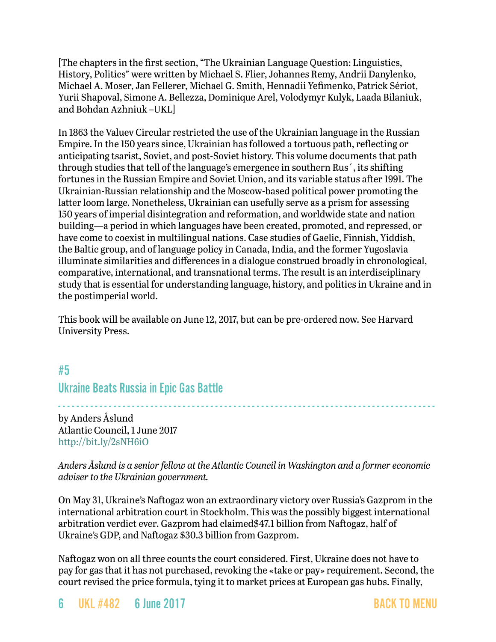[The chapters in the first section, "The Ukrainian Language Question: Linguistics, History, Politics" were written by Michael S. Flier, Johannes Remy, Andrii Danylenko, Michael A. Moser, Jan Fellerer, Michael G. Smith, Hennadii Yefimenko, Patrick Sériot, Yurii Shapoval, Simone A. Bellezza, Dominique Arel, Volodymyr Kulyk, Laada Bilaniuk, and Bohdan Azhniuk –UKL]

In 1863 the Valuev Circular restricted the use of the Ukrainian language in the Russian Empire. In the 150 years since, Ukrainian has followed a tortuous path, reflecting or anticipating tsarist, Soviet, and post-Soviet history. This volume documents that path through studies that tell of the language's emergence in southern Rus´, its shifting fortunes in the Russian Empire and Soviet Union, and its variable status after 1991. The Ukrainian-Russian relationship and the Moscow-based political power promoting the latter loom large. Nonetheless, Ukrainian can usefully serve as a prism for assessing 150 years of imperial disintegration and reformation, and worldwide state and nation building—a period in which languages have been created, promoted, and repressed, or have come to coexist in multilingual nations. Case studies of Gaelic, Finnish, Yiddish, the Baltic group, and of language policy in Canada, India, and the former Yugoslavia illuminate similarities and differences in a dialogue construed broadly in chronological, comparative, international, and transnational terms. The result is an interdisciplinary study that is essential for understanding language, history, and politics in Ukraine and in the postimperial world.

This book will be available on June 12, 2017, but can be pre-ordered now. See [Harvard](http://www.hup.harvard.edu/catalog.php?isbn=9781932650174)  [University Press.](http://www.hup.harvard.edu/catalog.php?isbn=9781932650174)

# <span id="page-5-0"></span>#5 Ukraine Beats Russia in Epic Gas Battle

- - - - - - - - - - - - - - - - - - - - - - - - - - - - - - - - - - - - - - - - - - - - - - - - - - - - - - - - - - - - - - - - - - - - - - - - - - - - - - - - - by Anders Åslund Atlantic Council, 1 June 2017 <http://bit.ly/2sNH6iO>

*Anders Åslund is a senior fellow at the Atlantic Council in Washington and a former economic adviser to the Ukrainian government.*

On May 31, Ukraine's Naftogaz won an extraordinary victory over Russia's Gazprom in the international arbitration court in Stockholm. This was the possibly biggest international arbitration verdict ever. Gazprom had [claimed](http://www.reuters.com/article/us-ukraine-crisis-russia-gas-idUSKBN18R2PB)\$47.1 billion from Naftogaz, half of Ukraine's GDP, and Naftogaz \$30.3 billion from Gazprom.

Naftogaz [won](http://www.naftogaz.com/www/3/nakweben.nsf/0/CD2D71060670AC07C2258131005777E4?OpenDocument&year=2017&month=05&nt=News&) on all three counts the court considered. First, Ukraine does not have to pay for gas that it has not purchased, revoking the «take or pay» requirement. Second, the court revised the price formula, tying it to market prices at European gas hubs. Finally,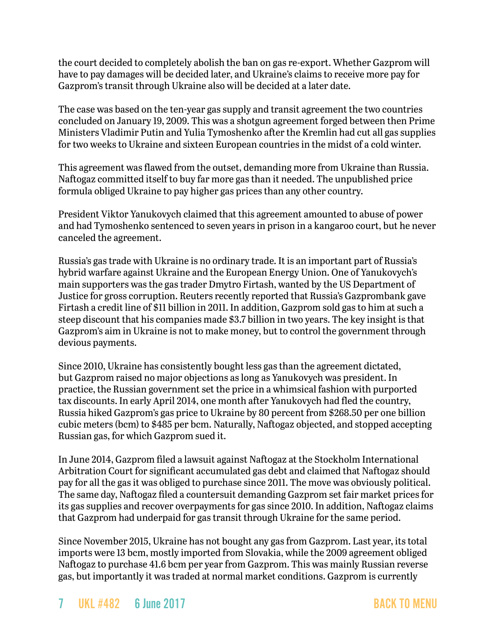the court decided to completely abolish the ban on gas re-export. Whether Gazprom will have to pay damages will be decided later, and Ukraine's claims to receive more pay for Gazprom's transit through Ukraine also will be decided at a later date.

The case was based on the ten-year gas supply and transit agreement the two countries concluded on January 19, 2009. This was a shotgun agreement forged between then Prime Ministers Vladimir Putin and Yulia Tymoshenko after the Kremlin had cut all gas supplies for two weeks to Ukraine and sixteen European countries in the midst of a cold winter.

This agreement was flawed from the outset, demanding more from Ukraine than Russia. Naftogaz committed itself to buy far more gas than it needed. The unpublished price formula obliged Ukraine to pay higher gas prices than any other country.

President Viktor Yanukovych claimed that this agreement amounted to abuse of power and had Tymoshenko [sentenced](http://www.nytimes.com/2011/10/12/world/europe/yulia-tymoshenko-sentenced-to-seven-years-in-prison.html?mcubz=0) to seven years in prison in a kangaroo court, but he never canceled the agreement.

Russia's gas trade with Ukraine is no ordinary trade. It is an important part of Russia's hybrid warfare against Ukraine and the European Energy Union. One of Yanukovych's main supporters was the gas trader Dmytro Firtash, wanted by the US Department of Justice for gross corruption. [Reuters](http://www.reuters.com/investigates/special-report/comrade-capitalism-the-kiev-connection/) recently reported that Russia's Gazprombank gave Firtash a credit line of \$11 billion in 2011. In addition, Gazprom sold gas to him at such a steep discount that his companies made \$3.7 billion in two years. The key insight is that Gazprom's aim in Ukraine is not to make money, but to control the government through devious payments.

Since 2010, Ukraine has consistently bought less gas than the agreement dictated, but Gazprom raised no major objections as long as Yanukovych was president. In practice, the Russian government set the price in a whimsical fashion with purported tax discounts. In early April 2014, one month after Yanukovych had fled the country, Russia [hiked](http://www.reuters.com/article/ukraine-crisis-gas-idUSL5N0MV2WL20140403) Gazprom's gas price to Ukraine by 80 percent from \$268.50 per one billion cubic meters (bcm) to \$485 per bcm. Naturally, Naftogaz objected, and stopped accepting Russian gas, for which Gazprom sued it.

In June 2014, Gazprom [filed](http://uk.reuters.com/article/ukraine-crisis-gazprom-lawsuit-idUKL5N0OX1G220140616) a lawsuit against Naftogaz at the Stockholm International Arbitration Court for significant accumulated gas debt and claimed that Naftogaz should pay for all the gas it was obliged to purchase since 2011. The move was obviously political. The same day, Naftogaz [filed](http://www.reuters.com/article/ukraine-crisis-naftogaz-court-idUSL5N0OX21G20140616) a countersuit demanding Gazprom set fair market prices for its gas supplies and recover overpayments for gas since 2010. In addition, Naftogaz claims that Gazprom had underpaid for gas transit through Ukraine for the same period.

Since November 2015, Ukraine has not bought any gas from Gazprom. Last year, its total imports were 13 bcm, mostly imported from Slovakia, while the [2009 agreement](https://csis-prod.s3.amazonaws.com/s3fs-public/legacy_files/files/publication/twq09januarychowelkind.pdf) obliged Naftogaz to purchase 41.6 bcm per year from Gazprom. This was mainly Russian reverse gas, but importantly it was traded at normal market conditions. Gazprom is currently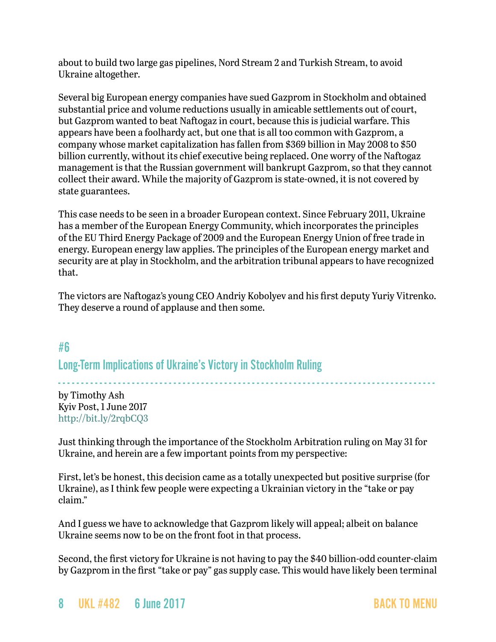about to build two large gas pipelines, Nord Stream 2 and Turkish Stream, to avoid Ukraine altogether.

Several big European energy companies have sued Gazprom in Stockholm and obtained substantial price and volume reductions usually in amicable settlements out of court, but Gazprom wanted to beat Naftogaz in court, because this is judicial warfare. This appears have been a foolhardy act, but one that is all too common with Gazprom, a company whose [market capitalization](https://www.bloomberg.com/quote/OGZD:LI) has fallen from \$369 billion in May 2008 to \$50 billion currently, without its chief executive being replaced. One worry of the Naftogaz management is that the Russian government will bankrupt Gazprom, so that they cannot collect their award. While the majority of Gazprom is state-owned, it is not covered by state guarantees.

This case needs to be seen in a broader European context. Since February 2011, Ukraine has a member of the European Energy Community, which incorporates the principles of the EU Third Energy Package of 2009 and the European Energy Union of free trade in energy. European energy law applies. The principles of the European energy market and security are at play in Stockholm, and the arbitration tribunal appears to have recognized that.

The victors are Naftogaz's young CEO Andriy Kobolyev and his first deputy Yuriy Vitrenko. They deserve a round of applause and then some.

# #6 Long-Term Implications of Ukraine's Victory in Stockholm Ruling

- - - - - - - - - - - - - - - - - - - - - - - - - - - - - - - - - - - - - - - - - - - - - - - - - - - - - - - - - - - - - - - - - - - - - - - - - - - - - - - - - by Timothy Ash Kyiv Post, 1 June 2017 <http://bit.ly/2rqbCQ3>

Just thinking through the importance of the Stockholm Arbitration ruling on May 31 for Ukraine, and herein are a few important points from my perspective:

First, let's be honest, this decision came as a totally unexpected but positive surprise (for Ukraine), as I think few people were expecting a Ukrainian victory in the "take or pay claim."

And I guess we have to acknowledge that Gazprom likely will appeal; albeit on balance Ukraine seems now to be on the front foot in that process.

Second, the first victory for Ukraine is not having to pay the \$40 billion-odd counter-claim by Gazprom in the first "take or pay" gas supply case. This would have likely been terminal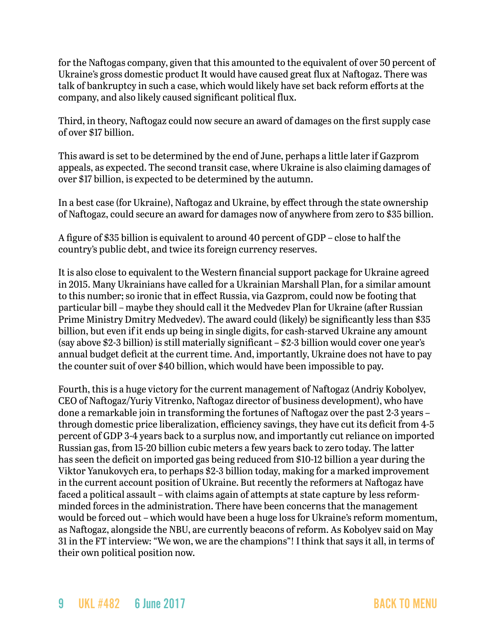for the Naftogas company, given that this amounted to the equivalent of over 50 percent of Ukraine's gross domestic product It would have caused great flux at Naftogaz. There was talk of bankruptcy in such a case, which would likely have set back reform efforts at the company, and also likely caused significant political flux.

Third, in theory, Naftogaz could now secure an award of damages on the first supply case of over \$17 billion.

This award is set to be determined by the end of June, perhaps a little later if Gazprom appeals, as expected. The second transit case, where Ukraine is also claiming damages of over \$17 billion, is expected to be determined by the autumn.

In a best case (for Ukraine), Naftogaz and Ukraine, by effect through the state ownership of Naftogaz, could secure an award for damages now of anywhere from zero to \$35 billion.

A figure of \$35 billion is equivalent to around 40 percent of GDP – close to half the country's public debt, and twice its foreign currency reserves.

It is also close to equivalent to the Western financial support package for Ukraine agreed in 2015. Many Ukrainians have called for a Ukrainian Marshall Plan, for a similar amount to this number; so ironic that in effect Russia, via Gazprom, could now be footing that particular bill – maybe they should call it the Medvedev Plan for Ukraine (after Russian Prime Ministry Dmitry Medvedev). The award could (likely) be significantly less than \$35 billion, but even if it ends up being in single digits, for cash-starved Ukraine any amount (say above \$2-3 billion) is still materially significant – \$2-3 billion would cover one year's annual budget deficit at the current time. And, importantly, Ukraine does not have to pay the counter suit of over \$40 billion, which would have been impossible to pay.

Fourth, this is a huge victory for the current management of Naftogaz (Andriy Kobolyev, CEO of Naftogaz/Yuriy Vitrenko, Naftogaz director of business development), who have done a remarkable join in transforming the fortunes of Naftogaz over the past 2-3 years – through domestic price liberalization, efficiency savings, they have cut its deficit from 4-5 percent of GDP 3-4 years back to a surplus now, and importantly cut reliance on imported Russian gas, from 15-20 billion cubic meters a few years back to zero today. The latter has seen the deficit on imported gas being reduced from \$10-12 billion a year during the Viktor Yanukovych era, to perhaps \$2-3 billion today, making for a marked improvement in the current account position of Ukraine. But recently the reformers at Naftogaz have faced a political assault – with claims again of attempts at state capture by less reformminded forces in the administration. There have been concerns that the management would be forced out – which would have been a huge loss for Ukraine's reform momentum, as Naftogaz, alongside the NBU, are currently beacons of reform. As Kobolyev said on May 31 in the FT interview: "We won, we are the champions"! I think that says it all, in terms of their own political position now.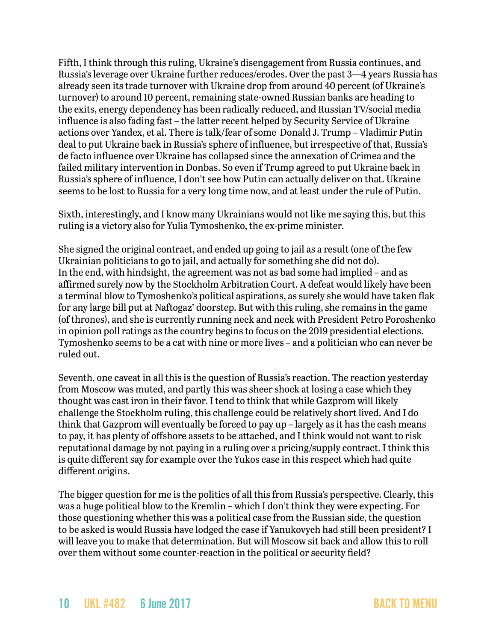Fifth, I think through this ruling, Ukraine's disengagement from Russia continues, and Russia's leverage over Ukraine further reduces/erodes. Over the past 3—4 years Russia has already seen its trade turnover with Ukraine drop from around 40 percent (of Ukraine's turnover) to around 10 percent, remaining state-owned Russian banks are heading to the exits, energy dependency has been radically reduced, and Russian TV/social media influence is also fading fast – the latter recent helped by Security Service of Ukraine actions over Yandex, et al. There is talk/fear of some Donald J. Trump – Vladimir Putin deal to put Ukraine back in Russia's sphere of influence, but irrespective of that, Russia's de facto influence over Ukraine has collapsed since the annexation of Crimea and the failed military intervention in Donbas. So even if Trump agreed to put Ukraine back in Russia's sphere of influence, I don't see how Putin can actually deliver on that. Ukraine seems to be lost to Russia for a very long time now, and at least under the rule of Putin.

Sixth, interestingly, and I know many Ukrainians would not like me saying this, but this ruling is a victory also for Yulia Tymoshenko, the ex-prime minister.

She signed the original contract, and ended up going to jail as a result (one of the few Ukrainian politicians to go to jail, and actually for something she did not do). In the end, with hindsight, the agreement was not as bad some had implied – and as affirmed surely now by the Stockholm Arbitration Court. A defeat would likely have been a terminal blow to Tymoshenko's political aspirations, as surely she would have taken flak for any large bill put at Naftogaz' doorstep. But with this ruling, she remains in the game (of thrones), and she is currently running neck and neck with President Petro Poroshenko in opinion poll ratings as the country begins to focus on the 2019 presidential elections. Tymoshenko seems to be a cat with nine or more lives – and a politician who can never be ruled out.

Seventh, one caveat in all this is the question of Russia's reaction. The reaction yesterday from Moscow was muted, and partly this was sheer shock at losing a case which they thought was cast iron in their favor. I tend to think that while Gazprom will likely challenge the Stockholm ruling, this challenge could be relatively short lived. And I do think that Gazprom will eventually be forced to pay up – largely as it has the cash means to pay, it has plenty of offshore assets to be attached, and I think would not want to risk reputational damage by not paying in a ruling over a pricing/supply contract. I think this is quite different say for example over the Yukos case in this respect which had quite different origins.

The bigger question for me is the politics of all this from Russia's perspective. Clearly, this was a huge political blow to the Kremlin – which I don't think they were expecting. For those questioning whether this was a political case from the Russian side, the question to be asked is would Russia have lodged the case if Yanukovych had still been president? I will leave you to make that determination. But will Moscow sit back and allow this to roll over them without some counter-reaction in the political or security field?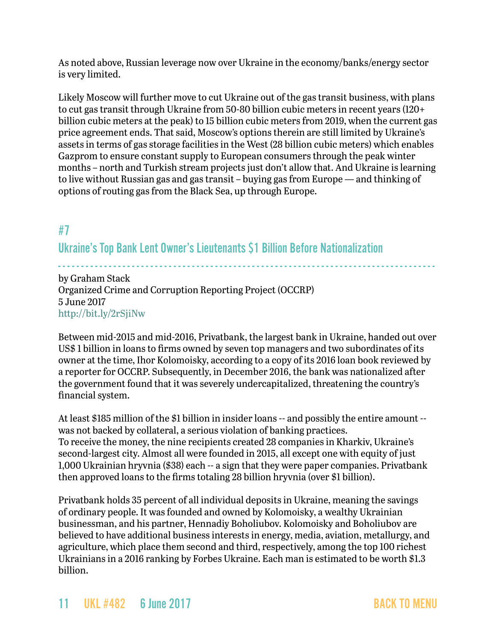As noted above, Russian leverage now over Ukraine in the economy/banks/energy sector is very limited.

Likely Moscow will further move to cut Ukraine out of the gas transit business, with plans to cut gas transit through Ukraine from 50-80 billion cubic meters in recent years (120+ billion cubic meters at the peak) to 15 billion cubic meters from 2019, when the current gas price agreement ends. That said, Moscow's options therein are still limited by Ukraine's assets in terms of gas storage facilities in the West (28 billion cubic meters) which enables Gazprom to ensure constant supply to European consumers through the peak winter months – north and Turkish stream projects just don't allow that. And Ukraine is learning to live without Russian gas and gas transit – buying gas from Europe — and thinking of options of routing gas from the Black Sea, up through Europe.

# #7

# Ukraine's Top Bank Lent Owner's Lieutenants \$1 Billion Before Nationalization

- - - - - - - - - - - - - - - - - - - - - - - - - - - - - - - - - - - - - - - - - - - - - - - - - - - - - - - - - - - - - - - - - - - - - - - - - - - - - - - - - by Graham Stack Organized Crime and Corruption Reporting Project (OCCRP) 5 June 2017 <http://bit.ly/2rSjiNw>

Between mid-2015 and mid-2016, Privatbank, the largest bank in Ukraine, handed out over US\$ 1 billion in loans to firms owned by seven top managers and two subordinates of its owner at the time, Ihor Kolomoisky, according to a copy of its 2016 loan book reviewed by a reporter for OCCRP. Subsequently, in December 2016, the bank was nationalized after the government found that it was severely undercapitalized, threatening the country's financial system.

At least \$185 million of the \$1 billion in insider loans -- and possibly the entire amount - was not backed by collateral, a serious violation of banking practices. To receive the money, the nine recipients created 28 companies in Kharkiv, Ukraine's second-largest city. Almost all were founded in 2015, all except one with equity of just 1,000 Ukrainian hryvnia (\$38) each -- a sign that they were paper companies. Privatbank then approved loans to the firms totaling 28 billion hryvnia (over \$1 billion).

Privatbank holds 35 percent of all individual deposits in Ukraine, meaning the savings of ordinary people. It was founded and owned by Kolomoisky, a wealthy Ukrainian businessman, and his partner, Hennadiy Boholiubov. Kolomoisky and Boholiubov are believed to have additional business interests in energy, media, aviation, metallurgy, and agriculture, which place them second and third, respectively, among the top 100 richest Ukrainians in a 2016 ranking by Forbes Ukraine. Each man is estimated to be worth \$1.3 billion.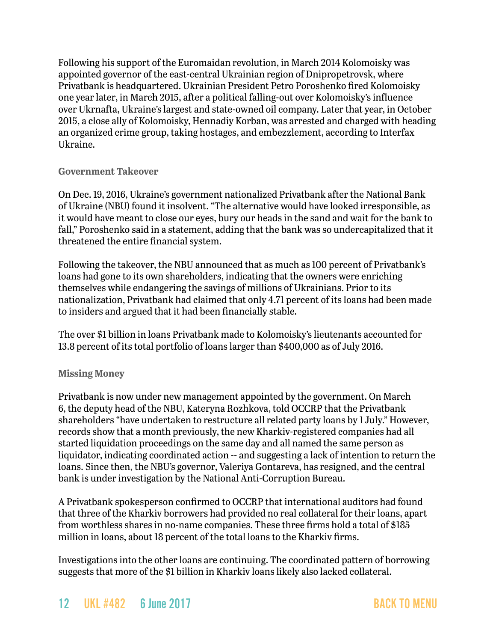Following his support of the Euromaidan revolution, in March 2014 Kolomoisky was appointed governor of the east-central Ukrainian region of Dnipropetrovsk, where Privatbank is headquartered. Ukrainian President Petro Poroshenko fired Kolomoisky one year later, in March 2015, after a political falling-out over Kolomoisky's influence over Ukrnafta, Ukraine's largest and state-owned oil company. Later that year, in October 2015, a close ally of Kolomoisky, Hennadiy Korban, was arrested and charged with heading an organized crime group, taking hostages, and embezzlement, according to Interfax Ukraine.

### **Government Takeover**

On Dec. 19, 2016, Ukraine's government nationalized Privatbank after the National Bank of Ukraine (NBU) found it insolvent. "The alternative would have looked irresponsible, as it would have meant to close our eyes, bury our heads in the sand and wait for the bank to fall," Poroshenko said in a statement, adding that the bank was so undercapitalized that it threatened the entire financial system.

Following the takeover, the NBU announced that as much as 100 percent of Privatbank's loans had gone to its own shareholders, indicating that the owners were enriching themselves while endangering the savings of millions of Ukrainians. Prior to its nationalization, Privatbank had claimed that only 4.71 percent of its loans had been made to insiders and argued that it had been financially stable.

The over \$1 billion in loans Privatbank made to Kolomoisky's lieutenants accounted for 13.8 percent of its total portfolio of loans larger than \$400,000 as of July 2016.

### **Missing Money**

Privatbank is now under new management appointed by the government. On March 6, the deputy head of the NBU, Kateryna Rozhkova, told OCCRP that the Privatbank shareholders "have undertaken to restructure all related party loans by 1 July." However, records show that a month previously, the new Kharkiv-registered companies had all started liquidation proceedings on the same day and all named the same person as liquidator, indicating coordinated action -- and suggesting a lack of intention to return the loans. Since then, the NBU's governor, Valeriya Gontareva, has resigned, and the central bank is under investigation by the National Anti-Corruption Bureau.

A Privatbank spokesperson confirmed to OCCRP that international auditors had found that three of the Kharkiv borrowers had provided no real collateral for their loans, apart from worthless shares in no-name companies. These three firms hold a total of \$185 million in loans, about 18 percent of the total loans to the Kharkiv firms.

Investigations into the other loans are continuing. The coordinated pattern of borrowing suggests that more of the \$1 billion in Kharkiv loans likely also lacked collateral.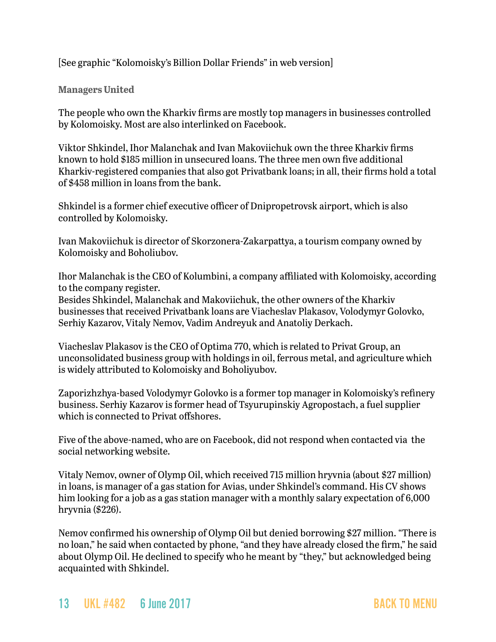[See graphic "Kolomoisky's Billion Dollar Friends" in web version]

### **Managers United**

The people who own the Kharkiv firms are mostly top managers in businesses controlled by Kolomoisky. Most are also interlinked on Facebook.

Viktor Shkindel, Ihor Malanchak and Ivan Makoviichuk own the three Kharkiv firms known to hold \$185 million in unsecured loans. The three men own five additional Kharkiv-registered companies that also got Privatbank loans; in all, their firms hold a total of \$458 million in loans from the bank.

Shkindel is a former chief executive officer of Dnipropetrovsk airport, which is also controlled by Kolomoisky.

Ivan Makoviichuk is director of Skorzonera-Zakarpattya, a tourism company owned by Kolomoisky and Boholiubov.

Ihor Malanchak is the CEO of Kolumbini, a company affiliated with Kolomoisky, according to the company register.

Besides Shkindel, Malanchak and Makoviichuk, the other owners of the Kharkiv businesses that received Privatbank loans are Viacheslav Plakasov, Volodymyr Golovko, Serhiy Kazarov, Vitaly Nemov, Vadim Andreyuk and Anatoliy Derkach.

Viacheslav Plakasov is the CEO of Optima 770, which is related to Privat Group, an unconsolidated business group with holdings in oil, ferrous metal, and agriculture which is widely attributed to Kolomoisky and Boholiyubov.

Zaporizhzhya-based Volodymyr Golovko is a former top manager in Kolomoisky's refinery business. Serhiy Kazarov is former head of Tsyurupinskiy Agropostach, a fuel supplier which is connected to Privat offshores.

Five of the above-named, who are on Facebook, did not respond when contacted via the social networking website.

Vitaly Nemov, owner of Olymp Oil, which received 715 million hryvnia (about \$27 million) in loans, is manager of a gas station for Avias, under Shkindel's command. His CV shows him looking for a job as a gas station manager with a monthly salary expectation of 6,000 hryvnia (\$226).

Nemov confirmed his ownership of Olymp Oil but denied borrowing \$27 million. "There is no loan," he said when contacted by phone, "and they have already closed the firm," he said about Olymp Oil. He declined to specify who he meant by "they," but acknowledged being acquainted with Shkindel.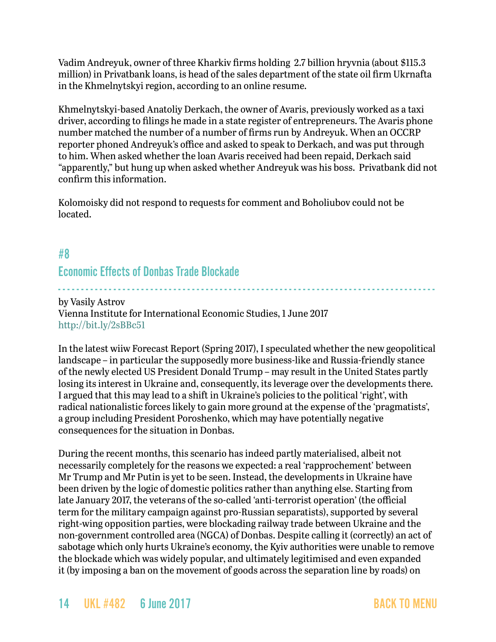Vadim Andreyuk, owner of three Kharkiv firms holding 2.7 billion hryvnia (about \$115.3 million) in Privatbank loans, is head of the sales department of the state oil firm Ukrnafta in the Khmelnytskyi region, according to an online resume.

Khmelnytskyi-based Anatoliy Derkach, the owner of Avaris, previously worked as a taxi driver, according to filings he made in a state register of entrepreneurs. The Avaris phone number matched the number of a number of firms run by Andreyuk. When an OCCRP reporter phoned Andreyuk's office and asked to speak to Derkach, and was put through to him. When asked whether the loan Avaris received had been repaid, Derkach said "apparently," but hung up when asked whether Andreyuk was his boss. Privatbank did not confirm this information.

Kolomoisky did not respond to requests for comment and Boholiubov could not be located.

### <span id="page-13-0"></span>#8

### Economic Effects of Donbas Trade Blockade

- - - - - - - - - - - - - - - - - - - - - - - - - - - - - - - - - - - - - - - - - - - - - - - - - - - - - - - - - - - - - - - - - - - - - - - - - - - - - - - - - by Vasily Astrov

Vienna Institute for International Economic Studies, 1 June 2017 <http://bit.ly/2sBBc51>

In the latest wiiw Forecast Report (Spring 2017), I speculated whether the new geopolitical landscape – in particular the supposedly more business-like and Russia-friendly stance of the newly elected US President Donald Trump – may result in the United States partly losing its interest in Ukraine and, consequently, its leverage over the developments there. I argued that this may lead to a shift in Ukraine's policies to the political 'right', with radical nationalistic forces likely to gain more ground at the expense of the 'pragmatists', a group including President Poroshenko, which may have potentially negative consequences for the situation in Donbas.

During the recent months, this scenario has indeed partly materialised, albeit not necessarily completely for the reasons we expected: a real 'rapprochement' between Mr Trump and Mr Putin is yet to be seen. Instead, the developments in Ukraine have been driven by the logic of domestic politics rather than anything else. Starting from late January 2017, the veterans of the so-called 'anti-terrorist operation' (the official term for the military campaign against pro-Russian separatists), supported by several right-wing opposition parties, were blockading railway trade between Ukraine and the non-government controlled area (NGCA) of Donbas. Despite calling it (correctly) an act of sabotage which only hurts Ukraine's economy, the Kyiv authorities were unable to remove the blockade which was widely popular, and ultimately legitimised and even expanded it (by imposing a ban on the movement of goods across the separation line by roads) on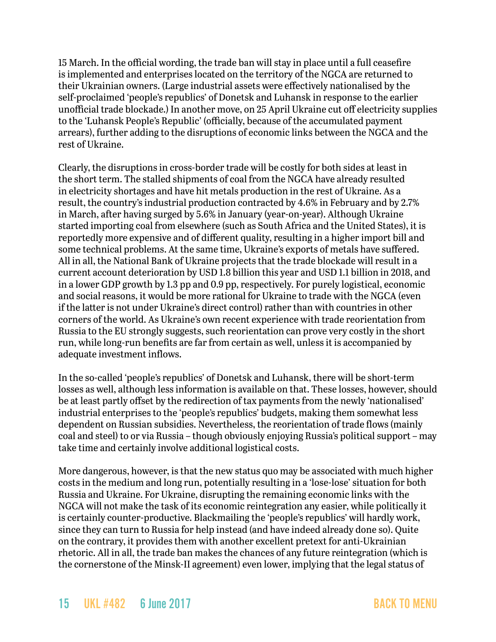15 March. In the official wording, the trade ban will stay in place until a full ceasefire is implemented and enterprises located on the territory of the NGCA are returned to their Ukrainian owners. (Large industrial assets were effectively nationalised by the self-proclaimed 'people's republics' of Donetsk and Luhansk in response to the earlier unofficial trade blockade.) In another move, on 25 April Ukraine cut off electricity supplies to the 'Luhansk People's Republic' (officially, because of the accumulated payment arrears), further adding to the disruptions of economic links between the NGCA and the rest of Ukraine.

Clearly, the disruptions in cross-border trade will be costly for both sides at least in the short term. The stalled shipments of coal from the NGCA have already resulted in electricity shortages and have hit metals production in the rest of Ukraine. As a result, the country's industrial production contracted by 4.6% in February and by 2.7% in March, after having surged by 5.6% in January (year-on-year). Although Ukraine started importing coal from elsewhere (such as South Africa and the United States), it is reportedly more expensive and of different quality, resulting in a higher import bill and some technical problems. At the same time, Ukraine's exports of metals have suffered. All in all, the National Bank of Ukraine projects that the trade blockade will result in a current account deterioration by USD 1.8 billion this year and USD 1.1 billion in 2018, and in a lower GDP growth by 1.3 pp and 0.9 pp, respectively. For purely logistical, economic and social reasons, it would be more rational for Ukraine to trade with the NGCA (even if the latter is not under Ukraine's direct control) rather than with countries in other corners of the world. As Ukraine's own recent experience with trade reorientation from Russia to the EU strongly suggests, such reorientation can prove very costly in the short run, while long-run benefits are far from certain as well, unless it is accompanied by adequate investment inflows.

In the so-called 'people's republics' of Donetsk and Luhansk, there will be short-term losses as well, although less information is available on that. These losses, however, should be at least partly offset by the redirection of tax payments from the newly 'nationalised' industrial enterprises to the 'people's republics' budgets, making them somewhat less dependent on Russian subsidies. Nevertheless, the reorientation of trade flows (mainly coal and steel) to or via Russia – though obviously enjoying Russia's political support – may take time and certainly involve additional logistical costs.

More dangerous, however, is that the new status quo may be associated with much higher costs in the medium and long run, potentially resulting in a 'lose-lose' situation for both Russia and Ukraine. For Ukraine, disrupting the remaining economic links with the NGCA will not make the task of its economic reintegration any easier, while politically it is certainly counter-productive. Blackmailing the 'people's republics' will hardly work, since they can turn to Russia for help instead (and have indeed already done so). Quite on the contrary, it provides them with another excellent pretext for anti-Ukrainian rhetoric. All in all, the trade ban makes the chances of any future reintegration (which is the cornerstone of the Minsk-II agreement) even lower, implying that the legal status of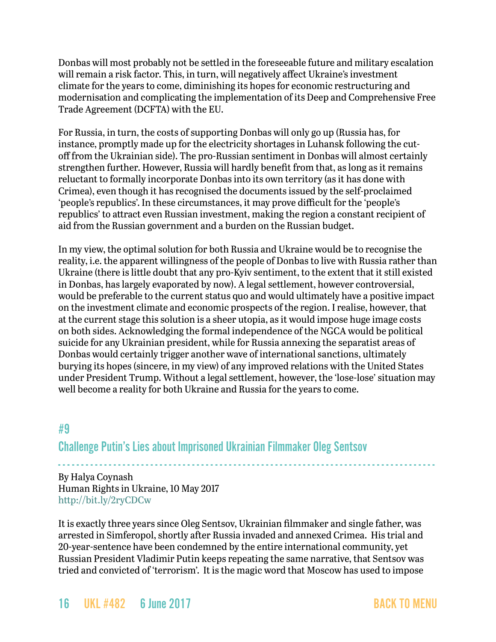Donbas will most probably not be settled in the foreseeable future and military escalation will remain a risk factor. This, in turn, will negatively affect Ukraine's investment climate for the years to come, diminishing its hopes for economic restructuring and modernisation and complicating the implementation of its Deep and Comprehensive Free Trade Agreement (DCFTA) with the EU.

For Russia, in turn, the costs of supporting Donbas will only go up (Russia has, for instance, promptly made up for the electricity shortages in Luhansk following the cutoff from the Ukrainian side). The pro-Russian sentiment in Donbas will almost certainly strengthen further. However, Russia will hardly benefit from that, as long as it remains reluctant to formally incorporate Donbas into its own territory (as it has done with Crimea), even though it has recognised the documents issued by the self-proclaimed 'people's republics'. In these circumstances, it may prove difficult for the 'people's republics' to attract even Russian investment, making the region a constant recipient of aid from the Russian government and a burden on the Russian budget.

In my view, the optimal solution for both Russia and Ukraine would be to recognise the reality, i.e. the apparent willingness of the people of Donbas to live with Russia rather than Ukraine (there is little doubt that any pro-Kyiv sentiment, to the extent that it still existed in Donbas, has largely evaporated by now). A legal settlement, however controversial, would be preferable to the current status quo and would ultimately have a positive impact on the investment climate and economic prospects of the region. I realise, however, that at the current stage this solution is a sheer utopia, as it would impose huge image costs on both sides. Acknowledging the formal independence of the NGCA would be political suicide for any Ukrainian president, while for Russia annexing the separatist areas of Donbas would certainly trigger another wave of international sanctions, ultimately burying its hopes (sincere, in my view) of any improved relations with the United States under President Trump. Without a legal settlement, however, the 'lose-lose' situation may well become a reality for both Ukraine and Russia for the years to come.

### #9

Challenge Putin's Lies about Imprisoned Ukrainian Filmmaker Oleg Sentsov

- - - - - - - - - - - - - - - - - - - - - - - - - - - - - - - - - - - - - - - - - - - - - - - - - - - - - - - - - - - - - - - - - - - - - - - - - - - - - - - - - - By Halya Coynash Human Rights in Ukraine, 10 May 2017 <http://bit.ly/2ryCDCw>

It is exactly three years since Oleg Sentsov, Ukrainian filmmaker and single father, was arrested in Simferopol, shortly after Russia invaded and annexed Crimea. His trial and 20-year-sentence have been condemned by the entire international community, yet Russian President Vladimir Putin keeps repeating the same narrative, that Sentsov was tried and convicted of 'terrorism'. It is the magic word that Moscow has used to impose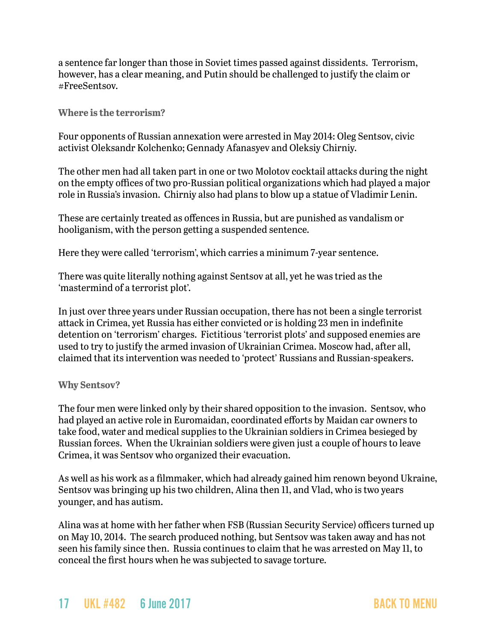a sentence far longer than those in Soviet times passed against dissidents. Terrorism, however, has a clear meaning, and Putin should be challenged to justify the claim or #FreeSentsov.

**Where is the terrorism?**

Four opponents of Russian annexation were arrested in May 2014: Oleg Sentsov, civic activist Oleksandr Kolchenko; Gennady Afanasyev and Oleksiy Chirniy.

The other men had all taken part in one or two Molotov cocktail attacks during the night on the empty offices of two pro-Russian political organizations which had played a major role in Russia's invasion. Chirniy also had plans to blow up a statue of Vladimir Lenin.

These are certainly treated as offences in Russia, but are punished as vandalism or hooliganism, with the person getting a suspended sentence.

Here they were called 'terrorism', which carries a minimum 7-year sentence.

There was quite literally nothing against Sentsov at all, yet he was tried as the 'mastermind of a terrorist plot'.

In just over three years under Russian occupation, there has not been a single terrorist attack in Crimea, yet Russia has either convicted or is holding 23 men in indefinite detention on 'terrorism' charges. Fictitious 'terrorist plots' and supposed enemies are used to try to justify the armed invasion of Ukrainian Crimea. Moscow had, after all, claimed that its intervention was needed to 'protect' Russians and Russian-speakers.

### **Why Sentsov?**

The four men were linked only by their shared opposition to the invasion. Sentsov, who had played an active role in Euromaidan, coordinated efforts by Maidan car owners to take food, water and medical supplies to the Ukrainian soldiers in Crimea besieged by Russian forces. When the Ukrainian soldiers were given just a couple of hours to leave Crimea, it was Sentsov who organized their evacuation.

As well as his work as a filmmaker, which had already gained him renown beyond Ukraine, Sentsov was bringing up his two children, Alina then 11, and Vlad, who is two years younger, and has autism.

Alina was at home with her father when FSB (Russian Security Service) officers turned up on May 10, 2014. The search produced nothing, but Sentsov was taken away and has not seen his family since then. Russia continues to claim that he was arrested on May 11, to conceal the first hours when he was subjected to savage torture.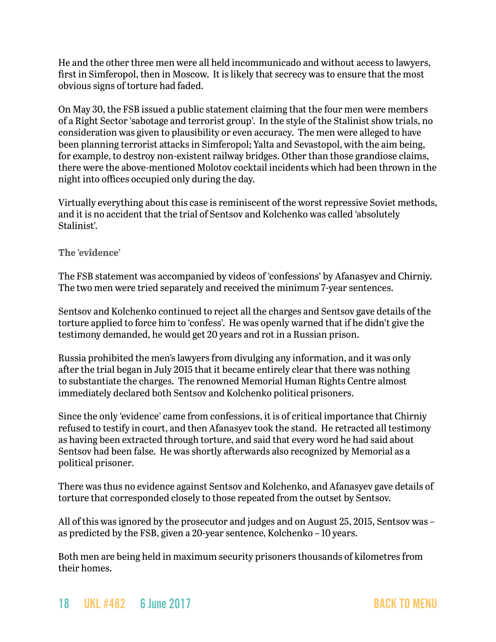He and the other three men were all held incommunicado and without access to lawyers, first in Simferopol, then in Moscow. It is likely that secrecy was to ensure that the most obvious signs of torture had faded.

On May 30, the FSB issued a public [statement](http://www.fsb.ru/fsb/press/message/single.htm%21id%3D10437554%40fsbMessage.html) claiming that the four men were members of a Right Sector 'sabotage and terrorist group'. In the style of the Stalinist show trials, no consideration was given to plausibility or even accuracy. The men were alleged to have been planning terrorist attacks in Simferopol; Yalta and Sevastopol, with the aim being, for example, to destroy non-existent railway bridges. Other than those grandiose claims, there were the above-mentioned Molotov cocktail incidents which had been thrown in the night into offices occupied only during the day.

Virtually everything about this case is reminiscent of the worst repressive Soviet methods, and it is no accident that the trial of Sentsov and Kolchenko was called ['absolutely](http://khpg.org/en/index.php?id=1440076117)  [Stalinist'](http://khpg.org/en/index.php?id=1440076117).

### **The 'evidence'**

The FSB statement was accompanied by videos of 'confessions' by Afanasyev and Chirniy. The two men were tried separately and received the minimum 7-year sentences.

Sentsov and Kolchenko continued to reject all the charges and Sentsov gave details of the torture applied to force him to 'confess'. He was openly warned that if he didn't give the testimony demanded, he would get 20 years and rot in a Russian prison.

Russia prohibited the men's lawyers from divulging any information, and it was only after the trial began in July 2015 that it became entirely clear that there was nothing to substantiate the charges. The renowned Memorial Human Rights Centre almost immediately [declared both Sentsov and Kolchenko political prisoners.](http://memohrc.org/news/memorial-schitaet-olega-sencova-i-aleksandra-kolchenko-politzaklyuchennymi)

Since the only 'evidence' came from confessions, it is of critical importance that Chirniy refused to testify in court, and then Afanasyev took the stand.  [He retracted](http://khpg.org/index.php?id=1438348634) all testimony as having been extracted through torture, and said that every word he had said about Sentsov had been false. He was shortly afterwards also recognized by Memorial as a political prisoner.

There was thus no evidence against Sentsov and Kolchenko, and Afanasyev gave details of torture that corresponded closely to those repeated from the outset by Sentsov.

All of this was ignored by the prosecutor and judges and on August 25, 2015, Sentsov was – as predicted by the FSB, given a 20-year sentence, Kolchenko – 10 years.

Both men are being held in maximum security prisoners thousands of kilometres from their homes.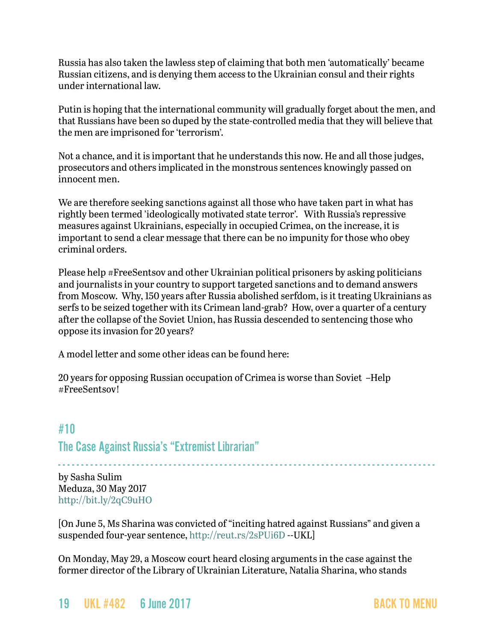Russia has also taken [the lawless step](http://khpg.org/index.php?id=1477053677) of claiming that both men 'automatically' became Russian citizens, and is denying them access to the Ukrainian consul and their rights under international law.

Putin is hoping that the international community will gradually forget about the men, and that Russians have been so duped by the state-controlled media that they will believe that the men are imprisoned for 'terrorism'.

Not a chance, and it is important that he understands this now. He and all those judges, prosecutors and others implicated in the monstrous sentences knowingly passed on innocent men.

We are therefore seeking sanctions against all those who [have taken part](http://khpg.org/en/index.php?id=1440595036) in what has rightly been termed 'ideologically motivated state terror'. With Russia's repressive measures against Ukrainians, especially in occupied Crimea, on the increase, it is important to send a clear message that there can be no impunity for those who obey criminal orders.

Please help #FreeSentsov and other Ukrainian political prisoners by asking politicians and journalists in your country to support targeted sanctions and to demand answers from Moscow. Why, 150 years after Russia abolished serfdom, is it treating Ukrainians as serfs to be seized together with its Crimean land-grab? How, over a quarter of a century after the collapse of the Soviet Union, has Russia descended to sentencing those who oppose its invasion for 20 years?

A model letter and some other ideas can be found here:

[20 years for opposing Russian occupation of Crimea is worse than Soviet –Help](http://khpg.org/en/index.php?id=1494339392)  [#FreeSentsov!](http://khpg.org/en/index.php?id=1494339392)

# #10

The Case Against Russia's "Extremist Librarian"

- - - - - - - - - - - - - - - - - - - - - - - - - - - - - - - - - - - - - - - - - - - - - - - - - - - - - - - - - - - - - - - - - - - - - - - - - - - - - - - - - by Sasha Sulim Meduza, 30 May 2017 <http://bit.ly/2qC9uHO>

[On June 5, Ms Sharina was convicted of "inciting hatred against Russians" and given a suspended four-year sentence, <http://reut.rs/2sPUi6D> --UKL]

On Monday, May 29, a Moscow court heard closing arguments in the case against the former director of the Library of Ukrainian Literature, Natalia Sharina, who stands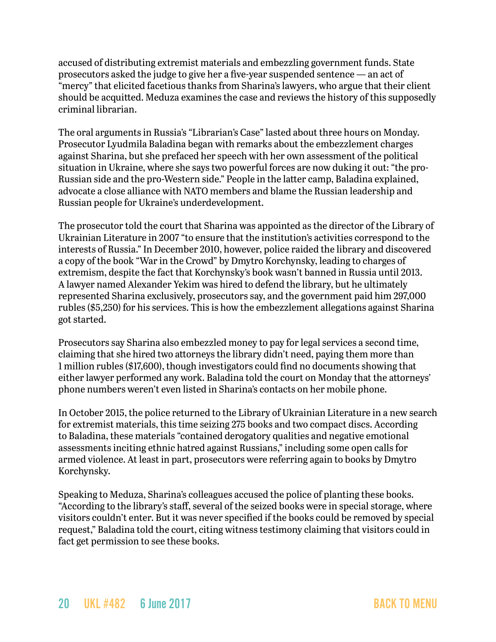accused of distributing extremist materials and embezzling government funds. State prosecutors asked the judge to give her a five-year suspended sentence — an act of "mercy" that elicited facetious thanks from Sharina's lawyers, who argue that their client should be acquitted. Meduza examines the case and reviews the history of this supposedly criminal librarian.

The oral arguments in Russia's "Librarian's Case" lasted about three hours on Monday. Prosecutor Lyudmila Baladina began with remarks about the embezzlement charges against Sharina, but she prefaced her speech with her own assessment of the political situation in Ukraine, where she says two powerful forces are now duking it out: "the pro-Russian side and the pro-Western side." People in the latter camp, Baladina explained, advocate a close alliance with NATO members and blame the Russian leadership and Russian people for Ukraine's underdevelopment.

The prosecutor told the court that Sharina was appointed as the director of the Library of Ukrainian Literature in 2007 "to ensure that the institution's activities correspond to the interests of Russia." In December 2010, however, police raided the library and discovered a copy of the book "War in the Crowd" by Dmytro Korchynsky, leading to charges of extremism, despite the fact that Korchynsky's book wasn't banned in Russia until 2013. A lawyer named Alexander Yekim was hired to defend the library, but he ultimately represented Sharina exclusively, prosecutors say, and the government paid him 297,000 rubles (\$5,250) for his services. This is how the embezzlement allegations against Sharina got started.

Prosecutors say Sharina also embezzled money to pay for legal services a second time, claiming that she hired two attorneys the library didn't need, paying them more than 1 million rubles (\$17,600), though investigators could find no documents showing that either lawyer performed any work. Baladina told the court on Monday that the attorneys' phone numbers weren't even listed in Sharina's contacts on her mobile phone.

In October 2015, the police returned to the Library of Ukrainian Literature in a new search for extremist materials, this time seizing 275 books and two compact discs. According to Baladina, these materials "contained derogatory qualities and negative emotional assessments inciting ethnic hatred against Russians," including some open calls for armed violence. At least in part, prosecutors were referring again to books by Dmytro Korchynsky.

Speaking to Meduza, Sharina's colleagues accused the police of planting these books. "According to the library's staff, several of the seized books were in special storage, where visitors couldn't enter. But it was never specified if the books could be removed by special request," Baladina told the court, citing witness testimony claiming that visitors could in fact get permission to see these books.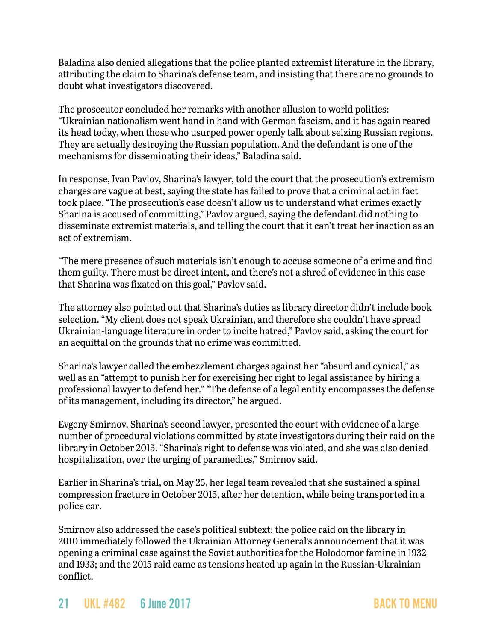Baladina also denied allegations that the police planted extremist literature in the library, attributing the claim to Sharina's defense team, and insisting that there are no grounds to doubt what investigators discovered.

The prosecutor concluded her remarks with another allusion to world politics: "Ukrainian nationalism went hand in hand with German fascism, and it has again reared its head today, when those who usurped power openly talk about seizing Russian regions. They are actually destroying the Russian population. And the defendant is one of the mechanisms for disseminating their ideas," Baladina said.

In response, Ivan Pavlov, Sharina's lawyer, told the court that the prosecution's extremism charges are vague at best, saying the state has failed to prove that a criminal act in fact took place. "The prosecution's case doesn't allow us to understand what crimes exactly Sharina is accused of committing," Pavlov argued, saying the defendant did nothing to disseminate extremist materials, and telling the court that it can't treat her inaction as an act of extremism.

"The mere presence of such materials isn't enough to accuse someone of a crime and find them guilty. There must be direct intent, and there's not a shred of evidence in this case that Sharina was fixated on this goal," Pavlov said.

The attorney also pointed out that Sharina's duties as library director didn't include book selection. "My client does not speak Ukrainian, and therefore she couldn't have spread Ukrainian-language literature in order to incite hatred," Pavlov said, asking the court for an acquittal on the grounds that no crime was committed.

Sharina's lawyer called the embezzlement charges against her "absurd and cynical," as well as an "attempt to punish her for exercising her right to legal assistance by hiring a professional lawyer to defend her." "The defense of a legal entity encompasses the defense of its management, including its director," he argued.

Evgeny Smirnov, Sharina's second lawyer, presented the court with evidence of a large number of procedural violations committed by state investigators during their raid on the library in October 2015. "Sharina's right to defense was violated, and she was also denied hospitalization, over the urging of paramedics," Smirnov said.

Earlier in Sharina's trial, on May 25, her legal team revealed that she sustained a spinal compression fracture in October 2015, after her detention, while being transported in a police car.

Smirnov also addressed the case's political subtext: the police raid on the library in 2010 immediately followed the Ukrainian Attorney General's announcement that it was opening a criminal case against the Soviet authorities for the Holodomor famine in 1932 and 1933; and the 2015 raid came as tensions heated up again in the Russian-Ukrainian conflict.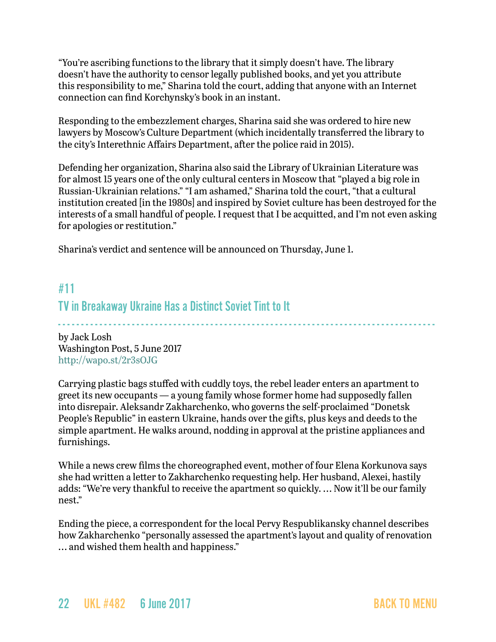"You're ascribing functions to the library that it simply doesn't have. The library doesn't have the authority to censor legally published books, and yet you attribute this responsibility to me," Sharina told the court, adding that anyone with an Internet connection can find Korchynsky's book in an instant.

Responding to the embezzlement charges, Sharina said she was ordered to hire new lawyers by Moscow's Culture Department (which incidentally transferred the library to the city's Interethnic Affairs Department, after the police raid in 2015).

Defending her organization, Sharina also said the Library of Ukrainian Literature was for almost 15 years one of the only cultural centers in Moscow that "played a big role in Russian-Ukrainian relations." "I am ashamed," Sharina told the court, "that a cultural institution created [in the 1980s] and inspired by Soviet culture has been destroyed for the interests of a small handful of people. I request that I be acquitted, and I'm not even asking for apologies or restitution."

Sharina's verdict and sentence will be announced on Thursday, June 1.

# <span id="page-21-0"></span>#11 TV in Breakaway Ukraine Has a Distinct Soviet Tint to It

- - - - - - - - - - - - - - - - - - - - - - - - - - - - - - - - - - - - - - - - - - - - - - - - - - - - - - - - - - - - - - - - - - - - - - - - - - - - - - - - - -

by Jack Losh Washington Post, 5 June 2017 <http://wapo.st/2r3sOJG>

Carrying plastic bags stuffed with cuddly toys, the rebel leader enters an apartment to greet its new occupants — a young family whose former home had supposedly fallen into disrepair. Aleksandr Zakharchenko, who governs the self-proclaimed "Donetsk People's Republic" in eastern Ukraine, hands over the gifts, plus keys and deeds to the simple apartment. He walks around, nodding in approval at the pristine appliances and furnishings.

While a news crew films the choreographed event, mother of four Elena Korkunova says she had written a letter to Zakharchenko requesting help. Her husband, Alexei, hastily adds: "We're very thankful to receive the apartment so quickly. ... Now it'll be our family nest."

Ending the piece, a correspondent for the local Pervy Respublikansky channel describes how Zakharchenko "personally assessed the apartment's layout and quality of renovation . . . and wished them health and happiness."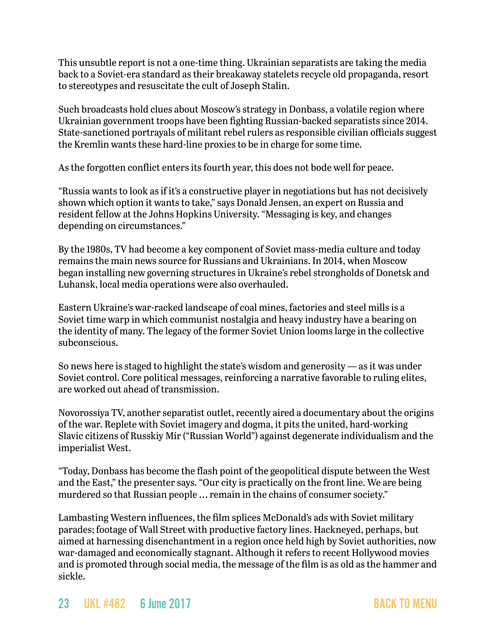This unsubtle report is not a one-time thing. Ukrainian separatists are taking the media back to a Soviet-era standard as their breakaway statelets recycle old propaganda, resort to stereotypes and resuscitate the cult of Joseph Stalin.

Such broadcasts hold clues about Moscow's strategy in Donbass, a volatile region where Ukrainian government troops have been fighting Russian-backed separatists since 2014. State-sanctioned portrayals of militant rebel rulers as responsible civilian officials suggest the Kremlin wants these hard-line proxies to be in charge for some time.

As the forgotten conflict enters its fourth year, this does not bode well for peace.

"Russia wants to look as if it's a constructive player in negotiations but has not decisively shown which option it wants to take," says Donald Jensen, an expert on Russia and resident fellow at the Johns Hopkins University. "Messaging is key, and changes depending on circumstances."

By the 1980s, TV had become a key component of Soviet mass-media culture and today remains the main news source for Russians and Ukrainians. In 2014, when Moscow began installing new governing structures in Ukraine's rebel strongholds of Donetsk and Luhansk, local media operations were also overhauled.

Eastern Ukraine's war-racked landscape of coal mines, factories and steel mills is a Soviet time warp in which communist nostalgia and heavy industry have a bearing on the identity of many. The legacy of the former Soviet Union looms large in the collective subconscious.

So news here is staged to highlight the state's wisdom and generosity  $-$  as it was under Soviet control. Core political messages, reinforcing a narrative favorable to ruling elites, are worked out ahead of transmission.

Novorossiya TV, another separatist outlet, recently aired a documentary about the origins of the war. Replete with Soviet imagery and dogma, it pits the united, hard-working Slavic citizens of Russkiy Mir ("Russian World") against degenerate individualism and the imperialist West.

"Today, Donbass has become the flash point of the geopolitical dispute between the West and the East," the presenter says. "Our city is practically on the front line. We are being murdered so that Russian people ... remain in the chains of consumer society."

Lambasting Western influences, the film splices McDonald's ads with Soviet military parades; footage of Wall Street with productive factory lines. Hackneyed, perhaps, but aimed at harnessing disenchantment in a region once held high by Soviet authorities, now war-damaged and economically stagnant. Although it refers to recent Hollywood movies and is promoted through social media, the message of the film is as old as the hammer and sickle.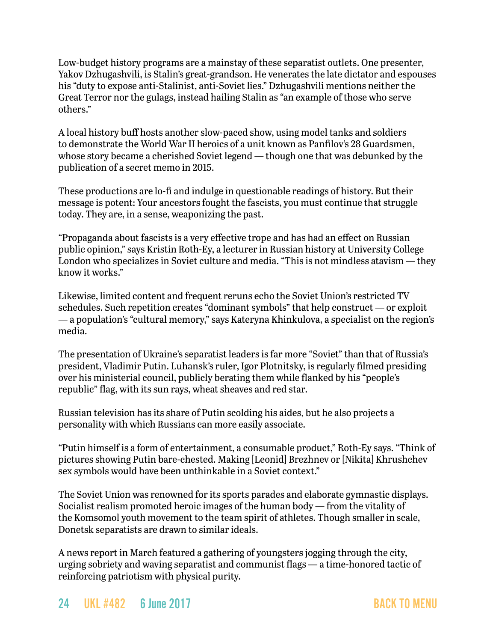Low-budget history programs are a mainstay of these separatist outlets. One presenter, Yakov Dzhugashvili, is Stalin's great-grandson. He venerates the late dictator and espouses his "duty to expose anti-Stalinist, anti-Soviet lies." Dzhugashvili mentions neither the Great Terror nor the gulags, instead hailing Stalin as "an example of those who serve others."

A local history buff hosts another slow-paced show, using model tanks and soldiers to demonstrate the World War II heroics of a unit known as Panfilov's 28 Guardsmen, whose story became a cherished Soviet legend — though one that was debunked by the publication of a secret memo in 2015.

These productions are lo-fi and indulge in questionable readings of history. But their message is potent: Your ancestors fought the fascists, you must continue that struggle today. They are, in a sense, weaponizing the past.

"Propaganda about fascists is a very effective trope and has had an effect on Russian public opinion," says Kristin Roth-Ey, a lecturer in Russian history at University College London who specializes in Soviet culture and media. "This is not mindless atavism — they know it works."

Likewise, limited content and frequent reruns echo the Soviet Union's restricted TV schedules. Such repetition creates "dominant symbols" that help construct — or exploit — a population's "cultural memory," says Kateryna Khinkulova, a specialist on the region's media.

The presentation of Ukraine's separatist leaders is far more "Soviet" than that of Russia's president, Vladimir Putin. Luhansk's ruler, Igor Plotnitsky, is regularly filmed presiding over his ministerial council, publicly berating them while flanked by his "people's republic" flag, with its sun rays, wheat sheaves and red star.

Russian television has its share of Putin scolding his aides, but he also projects a personality with which Russians can more easily associate.

"Putin himself is a form of entertainment, a consumable product," Roth-Ey says. "Think of pictures showing Putin bare-chested. Making [Leonid] Brezhnev or [Nikita] Khrushchev sex symbols would have been unthinkable in a Soviet context."

The Soviet Union was renowned for its sports parades and elaborate gymnastic displays. Socialist realism promoted heroic images of the human body — from the vitality of the Komsomol youth movement to the team spirit of athletes. Though smaller in scale, Donetsk separatists are drawn to similar ideals.

A news report in March featured a gathering of youngsters jogging through the city, urging sobriety and waving separatist and communist flags — a time-honored tactic of reinforcing patriotism with physical purity.

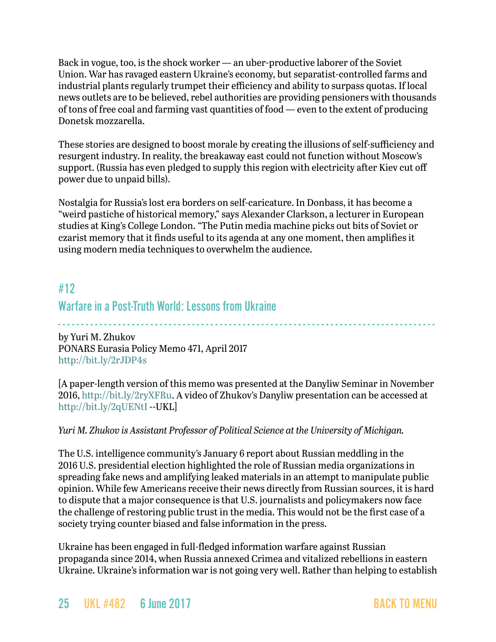Back in vogue, too, is the shock worker — an uber-productive laborer of the Soviet Union. War has ravaged eastern Ukraine's economy, but separatist-controlled farms and industrial plants regularly trumpet their efficiency and ability to surpass quotas. If local news outlets are to be believed, rebel authorities are providing pensioners with thousands of tons of free coal and farming vast quantities of food — even to the extent of producing Donetsk mozzarella.

These stories are designed to boost morale by creating the illusions of self-sufficiency and resurgent industry. In reality, the breakaway east could not function without Moscow's support. (Russia has even pledged to supply this region with electricity after Kiev cut off power due to unpaid bills).

Nostalgia for Russia's lost era borders on self-caricature. In Donbass, it has become a "weird pastiche of historical memory," says Alexander Clarkson, a lecturer in European studies at King's College London. "The Putin media machine picks out bits of Soviet or czarist memory that it finds useful to its agenda at any one moment, then amplifies it using modern media techniques to overwhelm the audience.

# <span id="page-24-0"></span>#12 Warfare in a Post-Truth World: Lessons from Ukraine

- - - - - - - - - - - - - - - - - - - - - - - - - - - - - - - - - - - - - - - - - - - - - - - - - - - - - - - - - - - - - - - - - - - - - - - - - - - - - - - - - -

by Yuri M. Zhukov PONARS Eurasia Policy Memo 471, April 2017 <http://bit.ly/2rJDP4s>

[A paper-length version of this memo was presented at the Danyliw Seminar in November 2016, <http://bit.ly/2ryXFRu>. A video of Zhukov's Danyliw presentation can be accessed at <http://bit.ly/2qUENtI> --UKL]

### *Yuri M. Zhukov is Assistant Professor of Political Science at the University of Michigan.*

The U.S. intelligence community's January 6 report about Russian meddling in the 2016 U.S. presidential election highlighted the role of Russian media organizations in spreading fake news and amplifying leaked materials in an attempt to manipulate public opinion. While few Americans receive their news directly from Russian sources, it is hard to dispute that a major consequence is that U.S. journalists and policymakers now face the challenge of restoring public trust in the media. This would not be the first case of a society trying counter biased and false information in the press.

Ukraine has been engaged in full-fledged information warfare against Russian propaganda since 2014, when Russia annexed Crimea and vitalized rebellions in eastern Ukraine. Ukraine's information war is not going very well. Rather than helping to establish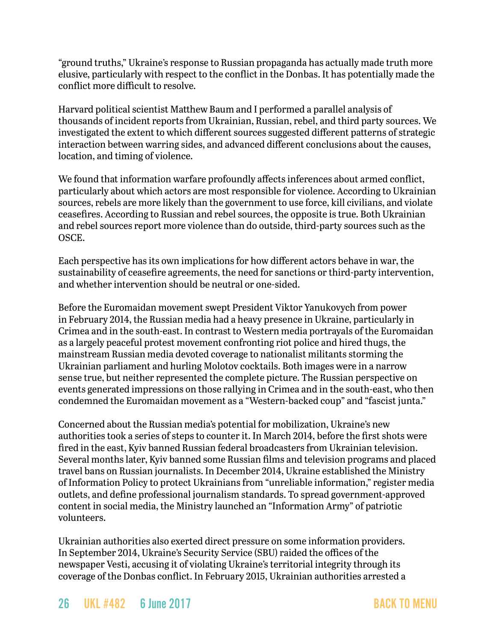"ground truths," Ukraine's response to Russian propaganda has actually made truth more elusive, particularly with respect to the conflict in the Donbas. It has potentially made the conflict more difficult to resolve.

Harvard political scientist Matthew Baum and I [performed](http://sites.lsa.umich.edu/zhukov/wp-content/uploads/sites/140/2017/04/2016_ZhukovBaum_Unpublished.pdf) a parallel analysis of thousands of incident reports from Ukrainian, Russian, rebel, and third party sources. We investigated the extent to which different sources suggested different patterns of strategic interaction between warring sides, and advanced different conclusions about the causes, location, and timing of violence.

We found that information warfare profoundly affects inferences about armed conflict, particularly about which actors are most responsible for violence. According to Ukrainian sources, rebels are more likely than the government to use force, kill civilians, and violate ceasefires. According to Russian and rebel sources, the opposite is true. Both Ukrainian and rebel sources report more violence than do outside, third-party sources such as the OSCE.

Each perspective has its own implications for how different actors behave in war, the sustainability of ceasefire agreements, the need for sanctions or third-party intervention, and whether intervention should be neutral or one-sided.

Before the Euromaidan movement swept President Viktor Yanukovych from power in February 2014, the Russian media had a heavy presence in Ukraine, particularly in Crimea and in the south-east. In contrast to Western media portrayals of the Euromaidan as a largely peaceful protest movement confronting riot police and hired thugs, the mainstream Russian media devoted coverage to nationalist militants storming the Ukrainian parliament and hurling Molotov cocktails. Both images were in a narrow sense true, but neither represented the complete picture. The Russian perspective on events generated impressions on those rallying in Crimea and in the south-east, who then condemned the Euromaidan movement as a "Western-backed coup" and "fascist junta."

Concerned about the Russian media's potential for mobilization, Ukraine's new authorities took a series of steps to counter it. In March 2014, before the first shots were fired in the east, Kyiv banned Russian federal broadcasters from Ukrainian television. Several months later, Kyiv banned some Russian films and television programs and placed travel bans on Russian journalists. In December 2014, Ukraine established the Ministry of Information Policy to protect Ukrainians from "unreliable information," register media outlets, and define professional journalism standards. To spread government-approved content in social media, the Ministry launched an "Information Army" of patriotic volunteers.

Ukrainian authorities also exerted direct pressure on some information providers. In September 2014, Ukraine's Security Service (SBU) raided the offices of the newspaper Vesti, accusing it of violating Ukraine's territorial integrity through its coverage of the Donbas conflict. In February 2015, Ukrainian authorities arrested a

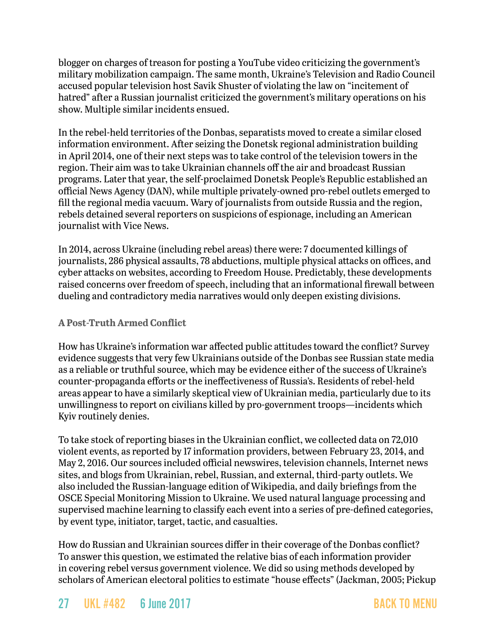blogger on charges of treason for posting a YouTube video criticizing the government's military mobilization campaign. The same month, Ukraine's Television and Radio Council accused popular television host Savik Shuster of violating the law on "incitement of hatred" after a Russian journalist criticized the government's military operations on his show. Multiple similar incidents ensued.

In the rebel-held territories of the Donbas, separatists moved to create a similar closed information environment. After seizing the Donetsk regional administration building in April 2014, one of their next steps was to take control of the television towers in the region. Their aim was to take Ukrainian channels off the air and broadcast Russian programs. Later that year, the self-proclaimed Donetsk People's Republic established an official News Agency (DAN), while multiple privately-owned pro-rebel outlets emerged to fill the regional media vacuum. Wary of journalists from outside Russia and the region, rebels detained several reporters on suspicions of espionage, including an American journalist with Vice News.

In 2014, across Ukraine (including rebel areas) there were: 7 documented killings of journalists, 286 physical assaults, 78 abductions, multiple physical attacks on offices, and cyber attacks on websites, [according](https://freedomhouse.org/report/freedom-world/2015/ukraine) to Freedom House. Predictably, these developments raised concerns over freedom of speech, including that an informational firewall between dueling and contradictory media narratives would only [deepen](http://www.nytimes.com/2014/04/28/opinion/the-war-on-truth-in-ukraine.html) existing divisions.

### **A Post-Truth Armed Conflict**

How has Ukraine's information war affected public attitudes toward the conflict? Survey evidence suggests that very few Ukrainians outside of the Donbas see Russian state media as a reliable or truthful source, which may be [evidence](https://www.files.ethz.ch/isn/193932/Russian%20Report%201%20Putin) either of the success of Ukraine's counter-propaganda efforts or the ineffectiveness of Russia's. Residents of rebel-held areas appear to have a similarly skeptical view of Ukrainian [media](http://www.economist.com/news/europe/21646280-russia-has-shown-its-mastery-propaganda-war-ukraine-struggling-catch-up-battle-web), particularly due to its unwillingness to report on civilians killed by pro-government troops—incidents which Kyiv routinely denies.

To take stock of reporting biases in the Ukrainian conflict, we collected data on 72,010 violent events, as reported by 17 information providers, between February 23, 2014, and May 2, 2016. Our sources included official newswires, television channels, Internet news sites, and blogs from Ukrainian, rebel, Russian, and external, third-party outlets. We also included the Russian-language edition of Wikipedia, and daily briefings from the OSCE Special Monitoring Mission to Ukraine. We used natural language processing and supervised machine learning to classify each event into a series of pre-defined categories, by event type, initiator, target, tactic, and casualties.

How do Russian and Ukrainian sources differ in their coverage of the Donbas conflict? To answer this question, we estimated the relative bias of each information provider in covering rebel versus government violence. We did so using methods developed by scholars of American electoral politics to estimate "house effects" [\(Jackman, 2005](http://eppsac.utdallas.edu/files/jackman/CAJP%2040-4%20Jackman.pdf); [Pickup](https://www.researchgate.net/publication/4960642_Campaign_trial_heats_as_election_forecasts_Measurement_error_and_bias_in_2004_presidential_campaign_polls)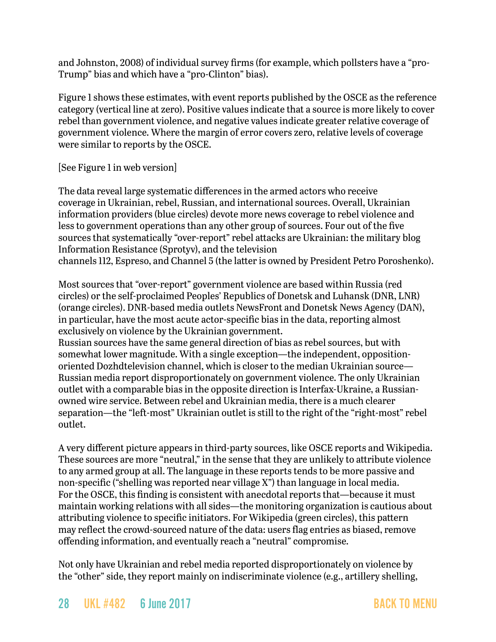[and Johnston, 2008](https://www.researchgate.net/publication/4960642_Campaign_trial_heats_as_election_forecasts_Measurement_error_and_bias_in_2004_presidential_campaign_polls)) of individual survey firms (for example, which pollsters have a "pro-Trump" bias and which have a "pro-Clinton" bias).

Figure 1 shows these estimates, with event reports published by the OSCE as the reference category (vertical line at zero). Positive values indicate that a source is more likely to cover rebel than government violence, and negative values indicate greater relative coverage of government violence. Where the margin of error covers zero, relative levels of coverage were similar to reports by the OSCE.

[See Figure 1 in web version]

The data reveal large systematic differences in the armed actors who receive coverage in Ukrainian, rebel, Russian, and international sources. Overall, Ukrainian information providers (blue circles) devote more news coverage to rebel violence and less to government operations than any other group of sources. Four out of the five sources that systematically "over-report" rebel attacks are Ukrainian: the military blog Information Resistance (Sprotyv), and the television channels 112, Espreso, and Channel 5 (the latter is owned by President Petro Poroshenko).

Most sources that "over-report" government violence are based within Russia (red circles) or the self-proclaimed Peoples' Republics of Donetsk and Luhansk (DNR, LNR) (orange circles). DNR-based media outlets NewsFront and Donetsk News Agency (DAN), in particular, have the most acute actor-specific bias in the data, reporting almost exclusively on violence by the Ukrainian government.

Russian sources have the same general direction of bias as rebel sources, but with somewhat lower magnitude. With a single exception—the independent, oppositionoriented Dozhdtelevision channel, which is closer to the median Ukrainian source— Russian media report disproportionately on government violence. The only Ukrainian outlet with a comparable bias in the opposite direction is Interfax-Ukraine, a Russianowned wire service. Between rebel and Ukrainian media, there is a much clearer separation—the "left-most" Ukrainian outlet is still to the right of the "right-most" rebel outlet.

A very different picture appears in third-party sources, like OSCE reports and Wikipedia. These sources are more "neutral," in the sense that they are unlikely to attribute violence to any armed group at all. The language in these reports tends to be more passive and non-specific ("shelling was reported near village X") than language in local media. For the OSCE, this finding is consistent with anecdotal reports that—because it must maintain working relations with all sides—the monitoring organization is cautious about attributing violence to specific initiators. For Wikipedia (green circles), this pattern may reflect the crowd-sourced nature of the data: users flag entries as biased, remove offending information, and eventually reach a "neutral" compromise.

Not only have Ukrainian and rebel media reported disproportionately on violence by the "other" side, they report mainly on indiscriminate violence (e.g., artillery shelling,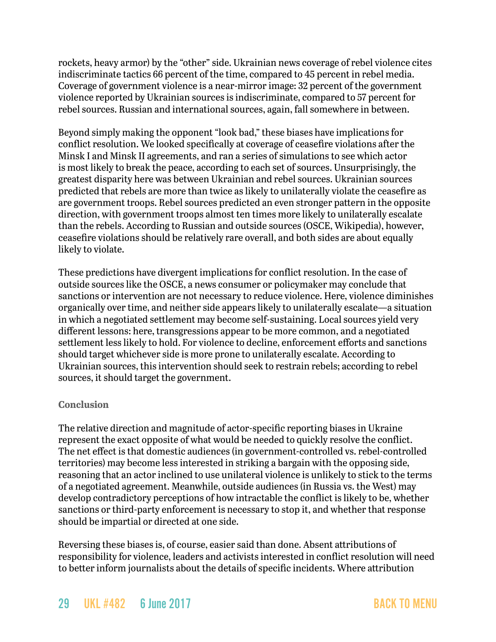rockets, heavy armor) by the "other" side. Ukrainian news coverage of rebel violence cites indiscriminate tactics 66 percent of the time, compared to 45 percent in rebel media. Coverage of government violence is a near-mirror image: 32 percent of the government violence reported by Ukrainian sources is indiscriminate, compared to 57 percent for rebel sources. Russian and international sources, again, fall somewhere in between.

Beyond simply making the opponent "look bad," these biases have implications for conflict resolution. We looked specifically at coverage of ceasefire violations after the Minsk I and Minsk II agreements, and ran a series of simulations to see which actor is most likely to break the peace, according to each set of sources. Unsurprisingly, the greatest disparity here was between Ukrainian and rebel sources. Ukrainian sources predicted that rebels are more than twice as likely to unilaterally violate the ceasefire as are government troops. Rebel sources predicted an even stronger pattern in the opposite direction, with government troops almost ten times more likely to unilaterally escalate than the rebels. According to Russian and outside sources (OSCE, Wikipedia), however, ceasefire violations should be relatively rare overall, and both sides are about equally likely to violate.

These predictions have divergent implications for conflict resolution. In the case of outside sources like the OSCE, a news consumer or policymaker may conclude that sanctions or intervention are not necessary to reduce violence. Here, violence diminishes organically over time, and neither side appears likely to unilaterally escalate—a situation in which a negotiated settlement may become self-sustaining. Local sources yield very different lessons: here, transgressions appear to be more common, and a negotiated settlement less likely to hold. For violence to decline, enforcement efforts and sanctions should target whichever side is more prone to unilaterally escalate. According to Ukrainian sources, this intervention should seek to restrain rebels; according to rebel sources, it should target the government.

### **Conclusion**

The relative direction and magnitude of actor-specific reporting biases in Ukraine represent the exact opposite of what would be needed to quickly resolve the conflict. The net effect is that domestic audiences (in government-controlled vs. rebel-controlled territories) may become less interested in striking a bargain with the opposing side, reasoning that an actor inclined to use unilateral violence is unlikely to stick to the terms of a negotiated agreement. Meanwhile, outside audiences (in Russia vs. the West) may develop contradictory perceptions of how intractable the conflict is likely to be, whether sanctions or third-party enforcement is necessary to stop it, and whether that response should be impartial or directed at one side.

Reversing these biases is, of course, easier said than done. Absent attributions of responsibility for violence, leaders and activists interested in conflict resolution will need to better inform journalists about the details of specific incidents. Where attribution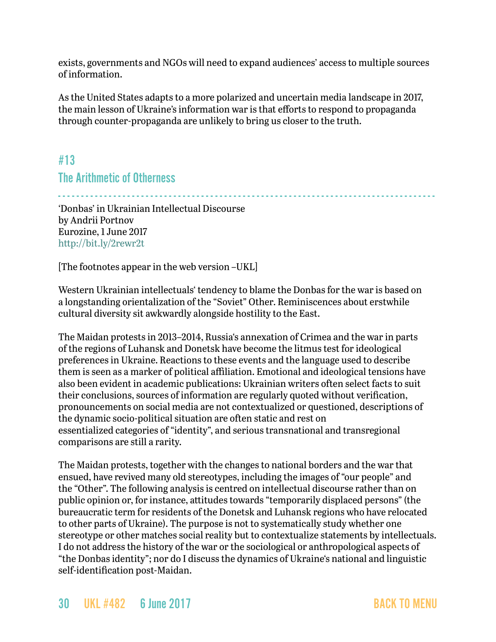exists, governments and NGOs will need to expand audiences' access to multiple sources of information.

As the United States adapts to a more polarized and uncertain media landscape in 2017, the main lesson of Ukraine's information war is that efforts to respond to propaganda through counter-propaganda are unlikely to bring us closer to the truth.

# <span id="page-29-0"></span>#13 The Arithmetic of Otherness

- - - - - - - - - - - - - - - - - - - - - - - - - - - - - - - - - - - - - - - - - - - - - - - - - - - - - - - - - - - - - - - - - - - - - - - - - - - - - - - - - -

'Donbas' in Ukrainian Intellectual Discourse by Andrii Portnov Eurozine, 1 June 2017 <http://bit.ly/2rewr2t>

[The footnotes appear in the web version –UKL]

Western Ukrainian intellectuals' tendency to blame the Donbas for the war is based on a longstanding orientalization of the "Soviet" Other. Reminiscences about erstwhile cultural diversity sit awkwardly alongside hostility to the East.

The Maidan protests in 2013–2014, Russia's annexation of Crimea and the war in parts of the regions of Luhansk and Donetsk have become the litmus test for ideological preferences in Ukraine. Reactions to these events and the language used to describe them is seen as a marker of political affiliation. Emotional and ideological tensions have also been evident in academic publications: Ukrainian writers often select facts to suit their conclusions, sources of information are regularly quoted without verification, pronouncements on social media are not contextualized or questioned, descriptions of the dynamic socio-political situation are often static and rest on essentialized categories of "identity", and serious transnational and transregional comparisons are still a rarity.

The Maidan protests, together with the changes to national borders and the war that ensued, have revived many old stereotypes, including the images of "our people" and the "Other". The following analysis is centred on intellectual discourse rather than on public opinion or, for instance, attitudes towards "temporarily displaced persons" (the bureaucratic term for residents of the Donetsk and Luhansk regions who have relocated to other parts of Ukraine). The purpose is not to systematically study whether one stereotype or other matches social reality but to contextualize statements by intellectuals. I do not address the history of the war or the sociological or anthropological aspects of "the Donbas identity"; nor do I discuss the dynamics of Ukraine's national and linguistic self-identification post-Maidan.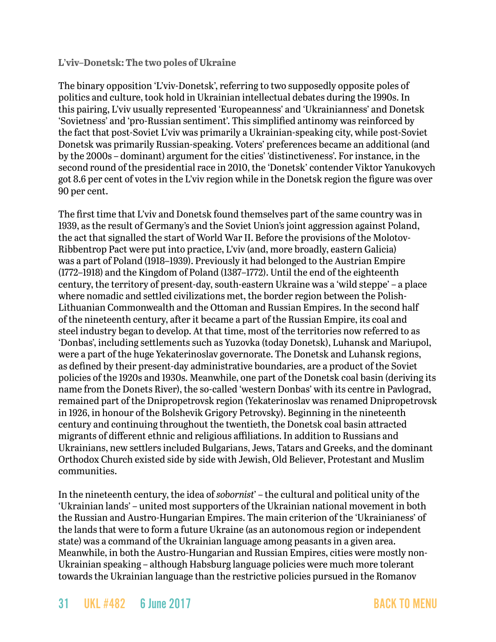#### **L'viv–Donetsk: The two poles of Ukraine**

The binary opposition 'L'viv-Donetsk', referring to two supposedly opposite poles of politics and culture, took hold in Ukrainian intellectual debates during the 1990s. In this pairing, L'viv usually represented 'Europeanness' and 'Ukrainianness' and Donetsk 'Sovietness' and 'pro-Russian sentiment'. This simplified antinomy was reinforced by the fact that post-Soviet L'viv was primarily a Ukrainian-speaking city, while post-Soviet Donetsk was primarily Russian-speaking. Voters' preferences became an additional (and by the 2000s – dominant) argument for the cities' 'distinctiveness'. For instance, in the second round of the presidential race in 2010, the 'Donetsk' contender Viktor Yanukovych got 8.6 per cent of votes in the L'viv region while in the Donetsk region the figure was over 90 per cent.

The first time that L'viv and Donetsk found themselves part of the same country was in 1939, as the result of Germany's and the Soviet Union's joint aggression against Poland, the act that signalled the start of World War II. Before the provisions of the Molotov-Ribbentrop Pact were put into practice, L'viv (and, more broadly, eastern Galicia) was a part of Poland (1918–1939). Previously it had belonged to the Austrian Empire (1772–1918) and the Kingdom of Poland (1387–1772). Until the end of the eighteenth century, the territory of present-day, south-eastern Ukraine was a 'wild steppe' – a place where nomadic and settled civilizations met, the border region between the Polish-Lithuanian Commonwealth and the Ottoman and Russian Empires. In the second half of the nineteenth century, after it became a part of the Russian Empire, its coal and steel industry began to develop. At that time, most of the territories now referred to as 'Donbas', including settlements such as Yuzovka (today Donetsk), Luhansk and Mariupol, were a part of the huge Yekaterinoslav governorate. The Donetsk and Luhansk regions, as defined by their present-day administrative boundaries, are a product of the Soviet policies of the 1920s and 1930s. Meanwhile, one part of the Donetsk coal basin (deriving its name from the Donets River), the so-called 'western Donbas' with its centre in Pavlograd, remained part of the Dnipropetrovsk region (Yekaterinoslav was renamed Dnipropetrovsk in 1926, in honour of the Bolshevik Grigory Petrovsky). Beginning in the nineteenth century and continuing throughout the twentieth, the Donetsk coal basin attracted migrants of different ethnic and religious affiliations. In addition to Russians and Ukrainians, new settlers included Bulgarians, Jews, Tatars and Greeks, and the dominant Orthodox Church existed side by side with Jewish, Old Believer, Protestant and Muslim communities.

In the nineteenth century, the idea of *sobornist*' – the cultural and political unity of the 'Ukrainian lands' – united most supporters of the Ukrainian national movement in both the Russian and Austro-Hungarian Empires. The main criterion of the 'Ukrainianess' of the lands that were to form a future Ukraine (as an autonomous region or independent state) was a command of the Ukrainian language among peasants in a given area. Meanwhile, in both the Austro-Hungarian and Russian Empires, cities were mostly non-Ukrainian speaking – although Habsburg language policies were much more tolerant towards the Ukrainian language than the restrictive policies pursued in the Romanov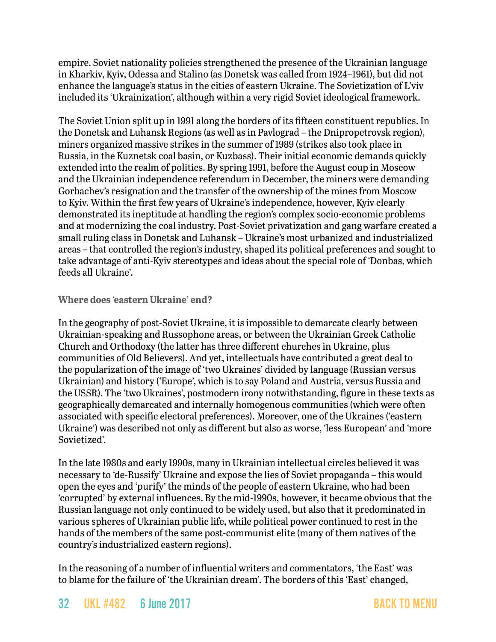empire. Soviet nationality policies strengthened the presence of the Ukrainian language in Kharkiv, Kyiv, Odessa and Stalino (as Donetsk was called from 1924–1961), but did not enhance the language's status in the cities of eastern Ukraine. The Sovietization of L'viv included its 'Ukrainization', although within a very rigid Soviet ideological framework.

The Soviet Union split up in 1991 along the borders of its fifteen constituent republics. In the Donetsk and Luhansk Regions (as well as in Pavlograd – the Dnipropetrovsk region), miners organized massive strikes in the summer of 1989 (strikes also took place in Russia, in the Kuznetsk coal basin, or Kuzbass). Their initial economic demands quickly extended into the realm of politics. By spring 1991, before the August coup in Moscow and the Ukrainian independence referendum in December, the miners were demanding Gorbachev's resignation and the transfer of the ownership of the mines from Moscow to Kyiv. Within the first few years of Ukraine's independence, however, Kyiv clearly demonstrated its ineptitude at handling the region's complex socio-economic problems and at modernizing the coal industry. Post-Soviet privatization and gang warfare created a small ruling class in Donetsk and Luhansk – Ukraine's most urbanized and industrialized areas – that controlled the region's industry, shaped its political preferences and sought to take advantage of anti-Kyiv stereotypes and ideas about the special role of 'Donbas, which feeds all Ukraine'.

### **Where does 'eastern Ukraine' end?**

In the geography of post-Soviet Ukraine, it is impossible to demarcate clearly between Ukrainian-speaking and Russophone areas, or between the Ukrainian Greek Catholic Church and Orthodoxy (the latter has three different churches in Ukraine, plus communities of Old Believers). And yet, intellectuals have contributed a great deal to the popularization of the image of 'two Ukraines' divided by language (Russian versus Ukrainian) and history ('Europe', which is to say Poland and Austria, versus Russia and the USSR). The 'two Ukraines', postmodern irony notwithstanding, figure in these texts as geographically demarcated and internally homogenous communities (which were often associated with specific electoral preferences). Moreover, one of the Ukraines ('eastern Ukraine') was described not only as different but also as worse, 'less European' and 'more Sovietized'.

In the late 1980s and early 1990s, many in Ukrainian intellectual circles believed it was necessary to 'de-Russify' Ukraine and expose the lies of Soviet propaganda – this would open the eyes and 'purify' the minds of the people of eastern Ukraine, who had been 'corrupted' by external influences. By the mid-1990s, however, it became obvious that the Russian language not only continued to be widely used, but also that it predominated in various spheres of Ukrainian public life, while political power continued to rest in the hands of the members of the same post-communist elite (many of them natives of the country's industrialized eastern regions).

In the reasoning of a number of influential writers and commentators, 'the East' was to blame for the failure of 'the Ukrainian dream'. The borders of this 'East' changed,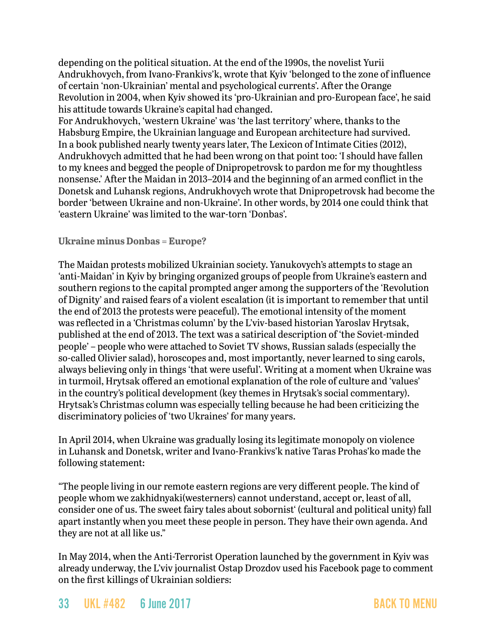depending on the political situation. At the end of the 1990s, the novelist Yurii Andrukhovych, from Ivano-Frankivs'k, wrote that Kyiv 'belonged to the zone of influence of certain 'non-Ukrainian' mental and psychological currents'. After the Orange Revolution in 2004, when Kyiv showed its 'pro-Ukrainian and pro-European face', he said his attitude towards Ukraine's capital had changed.

For Andrukhovych, 'western Ukraine' was 'the last territory' where, thanks to the Habsburg Empire, the Ukrainian language and European architecture had survived. In a book published nearly twenty years later, The Lexicon of Intimate Cities (2012), Andrukhovych admitted that he had been wrong on that point too: 'I should have fallen to my knees and begged the people of Dnipropetrovsk to pardon me for my thoughtless nonsense.' After the Maidan in 2013–2014 and the beginning of an armed conflict in the Donetsk and Luhansk regions, Andrukhovych wrote that Dnipropetrovsk had become the border 'between Ukraine and non-Ukraine'. In other words, by 2014 one could think that 'eastern Ukraine' was limited to the war-torn 'Donbas'.

### **Ukraine minus Donbas = Europe?**

The Maidan protests mobilized Ukrainian society. Yanukovych's attempts to stage an 'anti-Maidan' in Kyiv by bringing organized groups of people from Ukraine's eastern and southern regions to the capital prompted anger among the supporters of the 'Revolution of Dignity' and raised fears of a violent escalation (it is important to remember that until the end of 2013 the protests were peaceful). The emotional intensity of the moment was reflected in a 'Christmas column' by the L'viv-based historian Yaroslav Hrytsak, published at the end of 2013. The text was a satirical description of 'the Soviet-minded people' – people who were attached to Soviet TV shows, Russian salads (especially the so-called Olivier salad), horoscopes and, most importantly, never learned to sing carols, always believing only in things 'that were useful'. Writing at a moment when Ukraine was in turmoil, Hrytsak offered an emotional explanation of the role of culture and 'values' in the country's political development (key themes in Hrytsak's social commentary). Hrytsak's Christmas column was especially telling because he had been criticizing the discriminatory policies of 'two Ukraines' for many years.

In April 2014, when Ukraine was gradually losing its legitimate monopoly on violence in Luhansk and Donetsk, writer and Ivano-Frankivs'k native Taras Prohas'ko made the following statement:

"The people living in our remote eastern regions are very different people. The kind of people whom we zakhidnyaki(westerners) cannot understand, accept or, least of all, consider one of us. The sweet fairy tales about sobornist' (cultural and political unity) fall apart instantly when you meet these people in person. They have their own agenda. And they are not at all like us."

In May 2014, when the Anti-Terrorist Operation launched by the government in Kyiv was already underway, the L'viv journalist Ostap Drozdov used his Facebook page to comment on the first killings of Ukrainian soldiers: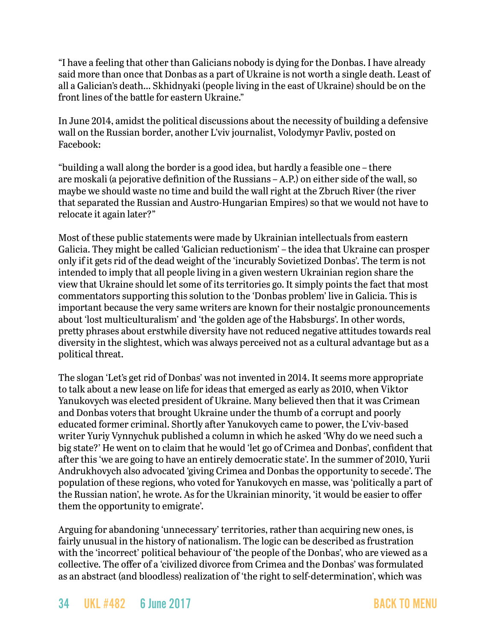"I have a feeling that other than Galicians nobody is dying for the Donbas. I have already said more than once that Donbas as a part of Ukraine is not worth a single death. Least of all a Galician's death… Skhidnyaki (people living in the east of Ukraine) should be on the front lines of the battle for eastern Ukraine."

In June 2014, amidst the political discussions about the necessity of building a defensive wall on the Russian border, another L'viv journalist, Volodymyr Pavliv, posted on Facebook:

"building a wall along the border is a good idea, but hardly a feasible one – there are moskali (a pejorative definition of the Russians – A.P.) on either side of the wall, so maybe we should waste no time and build the wall right at the Zbruch River (the river that separated the Russian and Austro-Hungarian Empires) so that we would not have to relocate it again later?"

Most of these public statements were made by Ukrainian intellectuals from eastern Galicia. They might be called 'Galician reductionism' – the idea that Ukraine can prosper only if it gets rid of the dead weight of the 'incurably Sovietized Donbas'. The term is not intended to imply that all people living in a given western Ukrainian region share the view that Ukraine should let some of its territories go. It simply points the fact that most commentators supporting this solution to the 'Donbas problem' live in Galicia. This is important because the very same writers are known for their nostalgic pronouncements about 'lost multiculturalism' and 'the golden age of the Habsburgs'. In other words, pretty phrases about erstwhile diversity have not reduced negative attitudes towards real diversity in the slightest, which was always perceived not as a cultural advantage but as a political threat.

The slogan 'Let's get rid of Donbas' was not invented in 2014. It seems more appropriate to talk about a new lease on life for ideas that emerged as early as 2010, when Viktor Yanukovych was elected president of Ukraine. Many believed then that it was Crimean and Donbas voters that brought Ukraine under the thumb of a corrupt and poorly educated former criminal. Shortly after Yanukovych came to power, the L'viv-based writer Yuriy Vynnychuk published a column in which he asked 'Why do we need such a big state?' He went on to claim that he would 'let go of Crimea and Donbas', confident that after this 'we are going to have an entirely democratic state'. In the summer of 2010, Yurii Andrukhovych also advocated 'giving Crimea and Donbas the opportunity to secede'. The population of these regions, who voted for Yanukovych en masse, was 'politically a part of the Russian nation', he wrote. As for the Ukrainian minority, 'it would be easier to offer them the opportunity to emigrate'.

Arguing for abandoning 'unnecessary' territories, rather than acquiring new ones, is fairly unusual in the history of nationalism. The logic can be described as frustration with the 'incorrect' political behaviour of 'the people of the Donbas', who are viewed as a collective. The offer of a 'civilized divorce from Crimea and the Donbas' was formulated as an abstract (and bloodless) realization of 'the right to self-determination', which was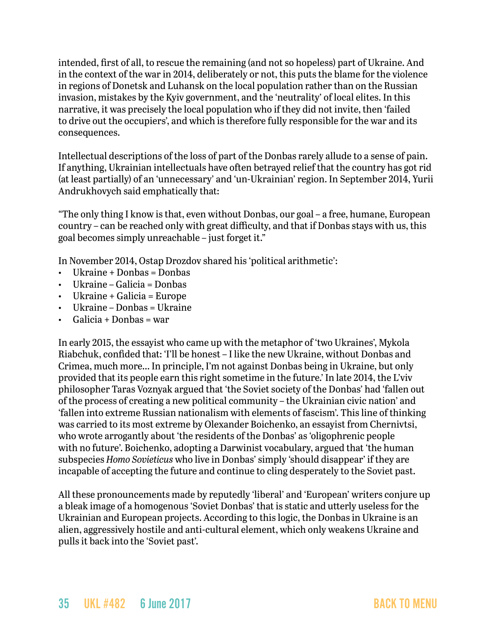intended, first of all, to rescue the remaining (and not so hopeless) part of Ukraine. And in the context of the war in 2014, deliberately or not, this puts the blame for the violence in regions of Donetsk and Luhansk on the local population rather than on the Russian invasion, mistakes by the Kyiv government, and the 'neutrality' of local elites. In this narrative, it was precisely the local population who if they did not invite, then 'failed to drive out the occupiers', and which is therefore fully responsible for the war and its consequences.

Intellectual descriptions of the loss of part of the Donbas rarely allude to a sense of pain. If anything, Ukrainian intellectuals have often betrayed relief that the country has got rid (at least partially) of an 'unnecessary' and 'un-Ukrainian' region. In September 2014, Yurii Andrukhovych said emphatically that:

"The only thing I know is that, even without Donbas, our goal – a free, humane, European country – can be reached only with great difficulty, and that if Donbas stays with us, this goal becomes simply unreachable – just forget it."

In November 2014, Ostap Drozdov shared his 'political arithmetic':

- Ukraine + Donbas = Donbas
- Ukraine Galicia = Donbas
- Ukraine + Galicia = Europe
- Ukraine Donbas = Ukraine
- Galicia + Donbas = war

In early 2015, the essayist who came up with the metaphor of 'two Ukraines', Mykola Riabchuk, confided that: 'I'll be honest – I like the new Ukraine, without Donbas and Crimea, much more… In principle, I'm not against Donbas being in Ukraine, but only provided that its people earn this right sometime in the future.' In late 2014, the L'viv philosopher Taras Voznyak argued that 'the Soviet society of the Donbas' had 'fallen out of the process of creating a new political community – the Ukrainian civic nation' and 'fallen into extreme Russian nationalism with elements of fascism'. This line of thinking was carried to its most extreme by Olexander Boichenko, an essayist from Chernivtsi, who wrote arrogantly about 'the residents of the Donbas' as 'oligophrenic people with no future'. Boichenko, adopting a Darwinist vocabulary, argued that 'the human subspecies *Homo Sovieticus* who live in Donbas' simply 'should disappear' if they are incapable of accepting the future and continue to cling desperately to the Soviet past.

All these pronouncements made by reputedly 'liberal' and 'European' writers conjure up a bleak image of a homogenous 'Soviet Donbas' that is static and utterly useless for the Ukrainian and European projects. According to this logic, the Donbas in Ukraine is an alien, aggressively hostile and anti-cultural element, which only weakens Ukraine and pulls it back into the 'Soviet past'.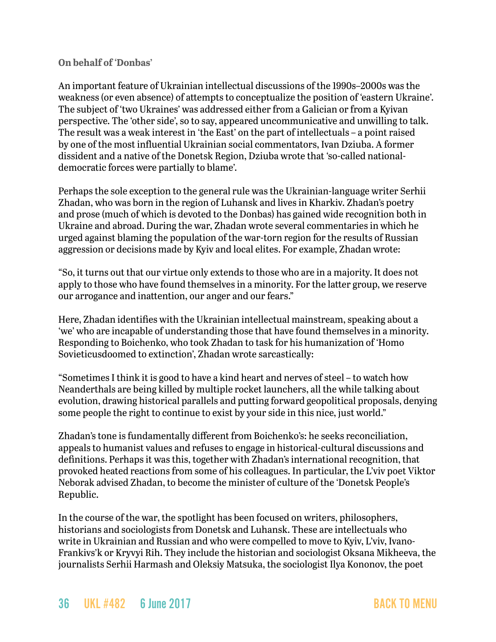### **On behalf of 'Donbas'**

An important feature of Ukrainian intellectual discussions of the 1990s–2000s was the weakness (or even absence) of attempts to conceptualize the position of 'eastern Ukraine'. The subject of 'two Ukraines' was addressed either from a Galician or from a Kyivan perspective. The 'other side', so to say, appeared uncommunicative and unwilling to talk. The result was a weak interest in 'the East' on the part of intellectuals – a point raised by one of the most influential Ukrainian social commentators, Ivan Dziuba. A former dissident and a native of the Donetsk Region, Dziuba wrote that 'so-called nationaldemocratic forces were partially to blame'.

Perhaps the sole exception to the general rule was the Ukrainian-language writer Serhii Zhadan, who was born in the region of Luhansk and lives in Kharkiv. Zhadan's poetry and prose (much of which is devoted to the Donbas) has gained wide recognition both in Ukraine and abroad. During the war, Zhadan wrote several commentaries in which he urged against blaming the population of the war-torn region for the results of Russian aggression or decisions made by Kyiv and local elites. For example, Zhadan wrote:

"So, it turns out that our virtue only extends to those who are in a majority. It does not apply to those who have found themselves in a minority. For the latter group, we reserve our arrogance and inattention, our anger and our fears."

Here, Zhadan identifies with the Ukrainian intellectual mainstream, speaking about a 'we' who are incapable of understanding those that have found themselves in a minority. Responding to Boichenko, who took Zhadan to task for his humanization of 'Homo Sovieticusdoomed to extinction', Zhadan wrote sarcastically:

"Sometimes I think it is good to have a kind heart and nerves of steel – to watch how Neanderthals are being killed by multiple rocket launchers, all the while talking about evolution, drawing historical parallels and putting forward geopolitical proposals, denying some people the right to continue to exist by your side in this nice, just world."

Zhadan's tone is fundamentally different from Boichenko's: he seeks reconciliation, appeals to humanist values and refuses to engage in historical-cultural discussions and definitions. Perhaps it was this, together with Zhadan's international recognition, that provoked heated reactions from some of his colleagues. In particular, the L'viv poet Viktor Neborak advised Zhadan, to become the minister of culture of the 'Donetsk People's Republic.

In the course of the war, the spotlight has been focused on writers, philosophers, historians and sociologists from Donetsk and Luhansk. These are intellectuals who write in Ukrainian and Russian and who were compelled to move to Kyiv, L'viv, Ivano-Frankivs'k or Kryvyi Rih. They include the historian and sociologist Oksana Mikheeva, the journalists Serhii Harmash and Oleksiy Matsuka, the sociologist Ilya Kononov, the poet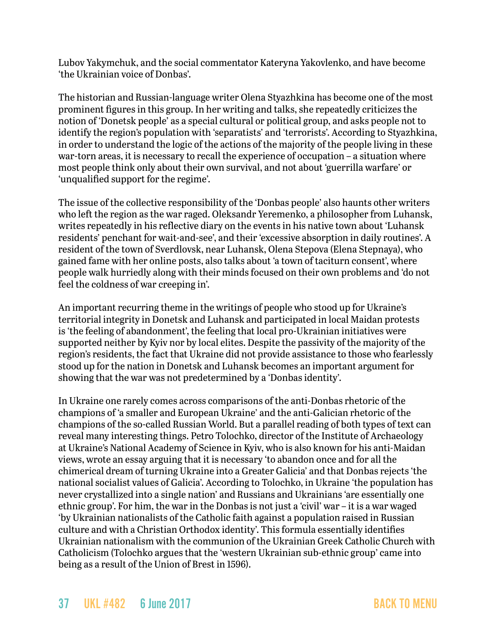Lubov Yakymchuk, and the social commentator Kateryna Yakovlenko, and have become 'the Ukrainian voice of Donbas'.

The historian and Russian-language writer Olena Styazhkina has become one of the most prominent figures in this group. In her writing and talks, she repeatedly criticizes the notion of 'Donetsk people' as a special cultural or political group, and asks people not to identify the region's population with 'separatists' and 'terrorists'. According to Styazhkina, in order to understand the logic of the actions of the majority of the people living in these war-torn areas, it is necessary to recall the experience of occupation – a situation where most people think only about their own survival, and not about 'guerrilla warfare' or 'unqualified support for the regime'.

The issue of the collective responsibility of the 'Donbas people' also haunts other writers who left the region as the war raged. Oleksandr Yeremenko, a philosopher from Luhansk, writes repeatedly in his reflective diary on the events in his native town about 'Luhansk residents' penchant for wait-and-see', and their 'excessive absorption in daily routines'. A resident of the town of Sverdlovsk, near Luhansk, Olena Stepova (Elena Stepnaya), who gained fame with her online posts, also talks about 'a town of taciturn consent', where people walk hurriedly along with their minds focused on their own problems and 'do not feel the coldness of war creeping in'.

An important recurring theme in the writings of people who stood up for Ukraine's territorial integrity in Donetsk and Luhansk and participated in local Maidan protests is 'the feeling of abandonment', the feeling that local pro-Ukrainian initiatives were supported neither by Kyiv nor by local elites. Despite the passivity of the majority of the region's residents, the fact that Ukraine did not provide assistance to those who fearlessly stood up for the nation in Donetsk and Luhansk becomes an important argument for showing that the war was not predetermined by a 'Donbas identity'.

In Ukraine one rarely comes across comparisons of the anti-Donbas rhetoric of the champions of 'a smaller and European Ukraine' and the anti-Galician rhetoric of the champions of the so-called Russian World. But a parallel reading of both types of text can reveal many interesting things. Petro Tolochko, director of the Institute of Archaeology at Ukraine's National Academy of Science in Kyiv, who is also known for his anti-Maidan views, wrote an essay arguing that it is necessary 'to abandon once and for all the chimerical dream of turning Ukraine into a Greater Galicia' and that Donbas rejects 'the national socialist values of Galicia'. According to Tolochko, in Ukraine 'the population has never crystallized into a single nation' and Russians and Ukrainians 'are essentially one ethnic group'. For him, the war in the Donbas is not just a 'civil' war – it is a war waged 'by Ukrainian nationalists of the Catholic faith against a population raised in Russian culture and with a Christian Orthodox identity'. This formula essentially identifies Ukrainian nationalism with the communion of the Ukrainian Greek Catholic Church with Catholicism (Tolochko argues that the 'western Ukrainian sub-ethnic group' came into being as a result of the Union of Brest in 1596).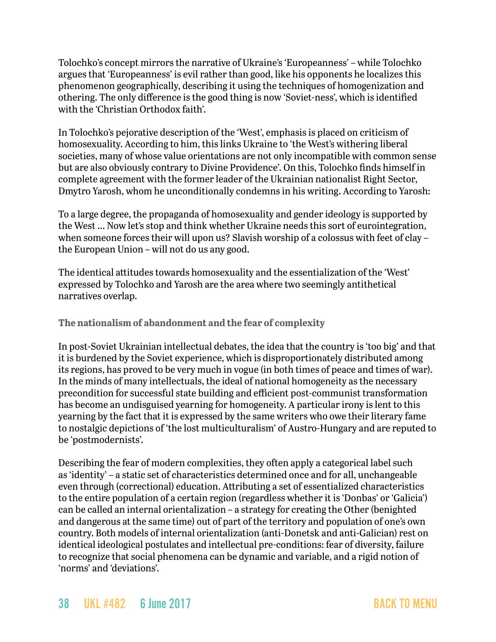Tolochko's concept mirrors the narrative of Ukraine's 'Europeanness' – while Tolochko argues that 'Europeanness' is evil rather than good, like his opponents he localizes this phenomenon geographically, describing it using the techniques of homogenization and othering. The only difference is the good thing is now 'Soviet-ness', which is identified with the 'Christian Orthodox faith'.

In Tolochko's pejorative description of the 'West', emphasis is placed on criticism of homosexuality. According to him, this links Ukraine to 'the West's withering liberal societies, many of whose value orientations are not only incompatible with common sense but are also obviously contrary to Divine Providence'. On this, Tolochko finds himself in complete agreement with the former leader of the Ukrainian nationalist Right Sector, Dmytro Yarosh, whom he unconditionally condemns in his writing. According to Yarosh:

To a large degree, the propaganda of homosexuality and gender ideology is supported by the West … Now let's stop and think whether Ukraine needs this sort of eurointegration, when someone forces their will upon us? Slavish worship of a colossus with feet of clay – the European Union – will not do us any good.

The identical attitudes towards homosexuality and the essentialization of the 'West' expressed by Tolochko and Yarosh are the area where two seemingly antithetical narratives overlap.

**The nationalism of abandonment and the fear of complexity**

In post-Soviet Ukrainian intellectual debates, the idea that the country is 'too big' and that it is burdened by the Soviet experience, which is disproportionately distributed among its regions, has proved to be very much in vogue (in both times of peace and times of war). In the minds of many intellectuals, the ideal of national homogeneity as the necessary precondition for successful state building and efficient post-communist transformation has become an undisguised yearning for homogeneity. A particular irony is lent to this yearning by the fact that it is expressed by the same writers who owe their literary fame to nostalgic depictions of 'the lost multiculturalism' of Austro-Hungary and are reputed to be 'postmodernists'.

Describing the fear of modern complexities, they often apply a categorical label such as 'identity' – a static set of characteristics determined once and for all, unchangeable even through (correctional) education. Attributing a set of essentialized characteristics to the entire population of a certain region (regardless whether it is 'Donbas' or 'Galicia') can be called an internal orientalization – a strategy for creating the Other (benighted and dangerous at the same time) out of part of the territory and population of one's own country. Both models of internal orientalization (anti-Donetsk and anti-Galician) rest on identical ideological postulates and intellectual pre-conditions: fear of diversity, failure to recognize that social phenomena can be dynamic and variable, and a rigid notion of 'norms' and 'deviations'.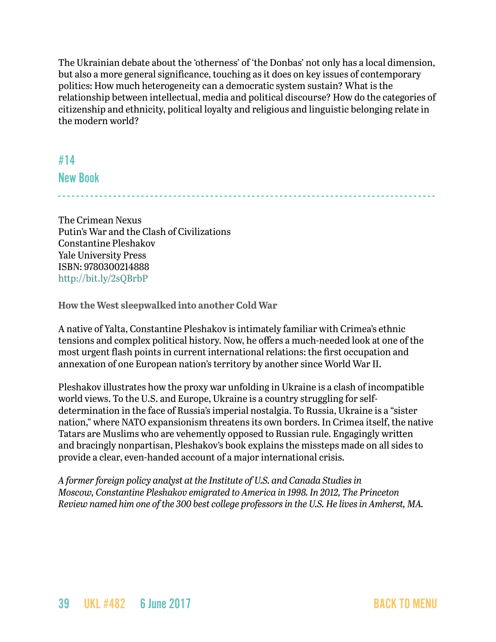The Ukrainian debate about the 'otherness' of 'the Donbas' not only has a local dimension, but also a more general significance, touching as it does on key issues of contemporary politics: How much heterogeneity can a democratic system sustain? What is the relationship between intellectual, media and political discourse? How do the categories of citizenship and ethnicity, political loyalty and religious and linguistic belonging relate in the modern world?

# <span id="page-38-0"></span>#14 New Book

- - - - - - - - - - - - - - - - - - - - - - - - - - - - - - - - - - - - - - - - - - - - - - - - - - - - - - - - - - - - - - - - - - - - - - - - - - - - - - - - - -

The Crimean Nexus Putin's War and the Clash of Civilizations Constantine Pleshakov Yale University Press ISBN: 9780300214888 <http://bit.ly/2sQBrbP>

**How the West sleepwalked into another Cold War**

A native of Yalta, Constantine Pleshakov is intimately familiar with Crimea's ethnic tensions and complex political history. Now, he offers a much-needed look at one of the most urgent flash points in current international relations: the first occupation and annexation of one European nation's territory by another since World War II.

Pleshakov illustrates how the proxy war unfolding in Ukraine is a clash of incompatible world views. To the U.S. and Europe, Ukraine is a country struggling for selfdetermination in the face of Russia's imperial nostalgia. To Russia, Ukraine is a "sister nation," where NATO expansionism threatens its own borders. In Crimea itself, the native Tatars are Muslims who are vehemently opposed to Russian rule. Engagingly written and bracingly nonpartisan, Pleshakov's book explains the missteps made on all sides to provide a clear, even-handed account of a major international crisis.

*A former foreign policy analyst at the Institute of U.S. and Canada Studies in Moscow, Constantine Pleshakov emigrated to America in 1998. In 2012, The Princeton Review named him one of the 300 best college professors in the U.S. He lives in Amherst, MA.*